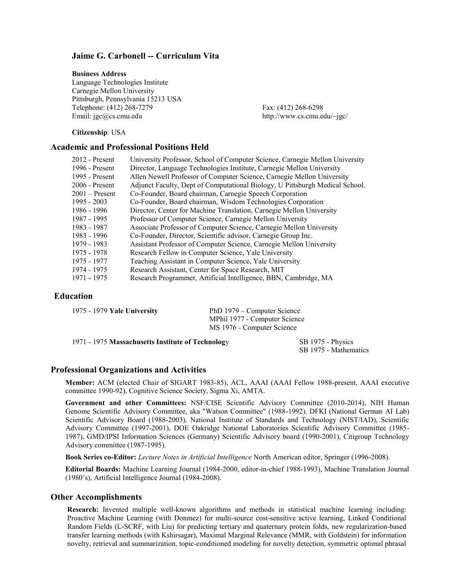## **Jaime G. Carbonell -- Curriculum Vita**

#### **Business Address**

Language Technologies Institute Carnegie Mellon University Pittsburgh, Pennsylvania 15213 USA Telephone: (412) 268-7279 Fax: (412) 268-6298 Email: jgc@cs.cmu.edu http://www.cs.cmu.edu/~jgc/

**Citizenship**: USA

### **Academic and Professional Positions Held**

| $2012$ - Present | University Professor, School of Computer Science, Carnegie Mellon University |
|------------------|------------------------------------------------------------------------------|
| 1996 - Present   | Director, Language Technologies Institute, Carnegie Mellon University        |
| 1995 - Present   | Allen Newell Professor of Computer Science, Carnegie Mellon University       |
| $2006$ - Present | Adjunct Faculty, Dept of Computational Biology, U Pittsburgh Medical School. |
| $2001 -$ Present | Co-Founder, Board chairman, Carnegie Speech Corporation                      |
| $1995 - 2003$    | Co-Founder, Board chairman, Wisdom Technologies Corporation                  |
| 1986 - 1996      | Director, Center for Machine Translation, Carnegie Mellon University         |
| 1987 - 1995      | Professor of Computer Science, Carnegie Mellon University                    |
| 1983 - 1987      | Associate Professor of Computer Science, Carnegie Mellon University          |
| 1983 - 1996      | Co-Founder, Director, Scientific advisor, Carnegie Group Inc.                |
| 1979 - 1983      | Assistant Professor of Computer Science, Carnegie Mellon University          |
| 1975 - 1978      | Research Fellow in Computer Science, Yale University                         |
| 1975 - 1977      | Teaching Assistant in Computer Science, Yale University                      |
| 1974 - 1975      | Research Assistant, Center for Space Research, MIT                           |
| 1971 - 1975      | Research Programmer, Artificial Intelligence, BBN, Cambridge, MA             |
|                  |                                                                              |

# **Education**

| 1975 - 1979 Yale University                       | PhD 1979 – Computer Science<br>MPhil 1977 - Computer Science<br>MS 1976 - Computer Science |  |
|---------------------------------------------------|--------------------------------------------------------------------------------------------|--|
|                                                   |                                                                                            |  |
|                                                   |                                                                                            |  |
| 1971 - 1975 Massachusetts Institute of Technology | SB 1975 - Physics                                                                          |  |

SB 1975 - Mathematics

## **Professional Organizations and Activities**

**Member:** ACM (elected Chair of SIGART 1983-85), ACL, AAAI (AAAI Fellow 1988-present, AAAI executive committee 1990-92), Cognitive Science Society, Sigma Xi, AMTA.

**Government and other Committees:** NSF/CISE Scientific Advisory Committee (2010-2014), NIH Human Genome Scientific Advisory Committee, aka "Watson Committee" (1988-1992). DFKI (National German AI Lab) Scientific Advisory Board (1988-2003). National Institute of Standards and Technology (NIST/IAD), Scientific Advisory Committee (1997-2001), DOE Oakridge National Laboratories Scientific Advisory Committee (1985- 1987), GMD/IPSI Information Sciences (Germany) Scientific Advisory board (1990-2001), Citigroup Technology Advisory committee (1987-1995).

**Book Series co-Editor:** *Lecture Notes in Artificial Intelligence* North American editor, Springer (1996-2008).

**Editorial Boards:** Machine Learning Journal (1984-2000, editor-in-chief 1988-1993), Machine Translation Journal (1980's), Artificial Intelligence Journal (1984-2008).

#### **Other Accomplishments**

**Research:** Invented multiple well-known algorithms and methods in statistical machine learning including: Proactive Machine Learning (with Donmez) for multi-source cost-sensitive active learning, Linked Conditional Random Fields (L-SCRF, with Liu) for predicting tertiary and quaternary protein folds, new regularization-based transfer learning methods (with Kshirsagar), Maximal Marginal Relevance (MMR, with Goldstein) for information novelty, retrieval and summarization, topic-conditioned modeling for novelty detection, symmetric optimal phrasal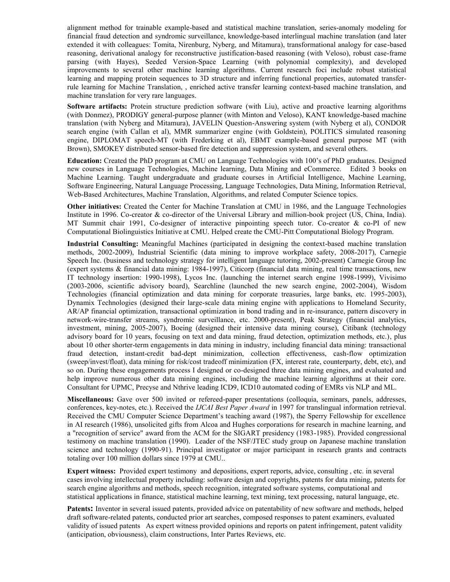alignment method for trainable example-based and statistical machine translation, series-anomaly modeling for financial fraud detection and syndromic surveillance, knowledge-based interlingual machine translation (and later extended it with colleagues: Tomita, Nirenburg, Nyberg, and Mitamura), transformational analogy for case-based reasoning, derivational analogy for reconstructive justification-based reasoning (with Veloso), robust case-frame parsing (with Hayes), Seeded Version-Space Learning (with polynomial complexity), and developed improvements to several other machine learning algorithms. Current research foci include robust statistical learning and mapping protein sequences to 3D structure and inferring functional properties, automated transferrule learning for Machine Translation, , enriched active transfer learning context-based machine translation, and machine translation for very rare languages.

**Software artifacts:** Protein structure prediction software (with Liu), active and proactive learning algorithms (with Donmez), PRODIGY general-purpose planner (with Minton and Veloso), KANT knowledge-based machine translation (with Nyberg and Mitamura), JAVELIN Question-Answering system (with Nyberg et al), CONDOR search engine (with Callan et al), MMR summarizer engine (with Goldstein), POLITICS simulated reasoning engine, DIPLOMAT speech-MT (with Frederking et al), EBMT example-based general purpose MT (with Brown), SMOKEY distributed sensor-based fire detection and suppression system, and several others.

**Education:** Created the PhD program at CMU on Language Technologies with 100's of PhD graduates. Designed new courses in Language Technologies, Machine learning, Data Mining and eCommerce. Edited 3 books on Machine Learning. Taught undergraduate and graduate courses in Artificial Intelligence, Machine Learning, Software Engineering, Natural Language Processing, Language Technologies, Data Mining, Information Retrieval, Web-Based Architectures, Machine Translation, Algorithms, and related Computer Science topics.

**Other initiatives:** Created the Center for Machine Translation at CMU in 1986, and the Language Technologies Institute in 1996. Co-creator & co-director of the Universal Library and million-book project (US, China, India). MT Summit chair 1991, Co-designer of interactive pinpointing speech tutor. Co-creator & co-PI of new Computational Biolinguistics Initiative at CMU. Helped create the CMU-Pitt Computational Biology Program.

**Industrial Consulting:** Meaningful Machines (participated in designing the context-based machine translation methods, 2002-2009), Industrial Scientific (data mining to improve workplace safety, 2008-2017), Carnegie Speech Inc. (business and technology strategy for intelligent language tutoring, 2002-present) Carnegie Group Inc (expert systems & financial data mining: 1984-1997), Citicorp (financial data mining, real time transactions, new IT technology insertion: 1990-1998), Lycos Inc. (launching the internet search engine 1998-1999), Vivisimo (2003-2006, scientific advisory board), Searchline (launched the new search engine, 2002-2004), Wisdom Technologies (financial optimization and data mining for corporate treasuries, large banks, etc. 1995-2003), Dynamix Technologies (designed their large-scale data mining engine with applications to Homeland Security, AR/AP financial optimization, transactional optimization in bond trading and in re-insurance, pattern discovery in network-wire-transfer streams, syndromic surveillance, etc. 2000-present), Peak Strategy (financial analytics, investment, mining, 2005-2007), Boeing (designed their intensive data mining course), Citibank (technology advisory board for 10 years, focusing on text and data mining, fraud detection, optimization methods, etc.), plus about 10 other shorter-term engagements in data mining in industry, including financial data mining: transactional fraud detection, instant-credit bad-dept minimization, collection effectiveness, cash-flow optimization (sweep/invest/float), data mining for risk/cost tradeoff minimization (FX, interest rate, counterparty, debt, etc), and so on. During these engagements process I designed or co-designed three data mining engines, and evaluated and help improve numerous other data mining engines, including the machine learning algorithms at their core. Consultant for UPMC, Precyse and Nthrive leading ICD9, ICD10 automated coding of EMRs vis NLP and ML.

**Miscellaneous:** Gave over 500 invited or refereed-paper presentations (colloquia, seminars, panels, addresses, conferences, key-notes, etc.). Received the *IJCAI Best Paper Award* in 1997 for translingual information retrieval. Received the CMU Computer Science Department's teaching award (1987), the Sperry Fellowship for excellence in AI research (1986), unsolicited gifts from Alcoa and Hughes corporations for research in machine learning, and a "recognition of service" award from the ACM for the SIGART presidency (1983-1985). Provided congressional testimony on machine translation (1990). Leader of the NSF/JTEC study group on Japanese machine translation science and technology (1990-91). Principal investigator or major participant in research grants and contracts totaling over 100 million dollars since 1979 at CMU..

**Expert witness:** Provided expert testimony and depositions, expert reports, advice, consulting , etc. in several cases involving intellectual property including: software design and copyrights, patents for data mining, patents for search engine algorithms and methods, speech recognition, integrated software systems, computational and statistical applications in finance, statistical machine learning, text mining, text processing, natural language, etc.

**Patents:** Inventor in several issued patents, provided advice on patentability of new software and methods, helped draft software-related patents, conducted prior art searches, composed responses to patent examiners, evaluated validity of issued patents As expert witness provided opinions and reports on patent infringement, patent validity (anticipation, obviousness), claim constructions, Inter Partes Reviews, etc.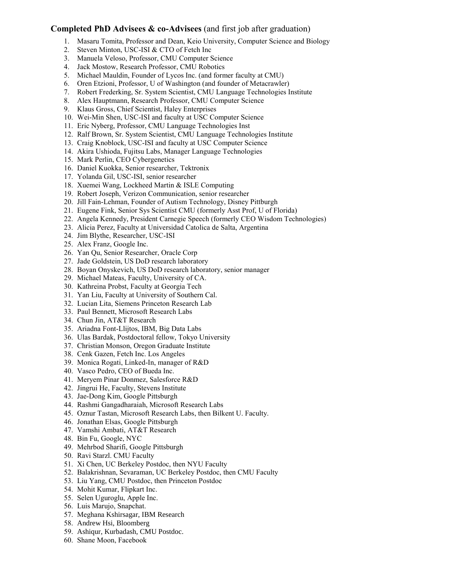## **Completed PhD Advisees & co-Advisees** (and first job after graduation)

- 1. Masaru Tomita, Professor and Dean, Keio University, Computer Science and Biology
- 2. Steven Minton, USC-ISI & CTO of Fetch Inc
- 3. Manuela Veloso, Professor, CMU Computer Science
- 4. Jack Mostow, Research Professor, CMU Robotics
- 5. Michael Mauldin, Founder of Lycos Inc. (and former faculty at CMU)
- 6. Oren Etzioni, Professor, U of Washington (and founder of Metacrawler)
- 7. Robert Frederking, Sr. System Scientist, CMU Language Technologies Institute
- 8. Alex Hauptmann, Research Professor, CMU Computer Science
- 9. Klaus Gross, Chief Scientist, Haley Enterprises
- 10. Wei-Min Shen, USC-ISI and faculty at USC Computer Science
- 11. Eric Nyberg, Professor, CMU Language Technologies Inst
- 12. Ralf Brown, Sr. System Scientist, CMU Language Technologies Institute
- 13. Craig Knoblock, USC-ISI and faculty at USC Computer Science
- 14. Akira Ushioda, Fujitsu Labs, Manager Language Technologies
- 15. Mark Perlin, CEO Cybergenetics
- 16. Daniel Kuokka, Senior researcher, Tektronix
- 17. Yolanda Gil, USC-ISI, senior researcher
- 18. Xuemei Wang, Lockheed Martin & ISLE Computing
- 19. Robert Joseph, Verizon Communication, senior researcher
- 20. Jill Fain-Lehman, Founder of Autism Technology, Disney Pittburgh
- 21. Eugene Fink, Senior Sys Scientist CMU (formerly Asst Prof, U of Florida)
- 22. Angela Kennedy, President Carnegie Speech (formerly CEO Wisdom Technologies)
- 23. Alicia Perez, Faculty at Universidad Catolica de Salta, Argentina
- 24. Jim Blythe, Researcher, USC-ISI
- 25. Alex Franz, Google Inc.
- 26. Yan Qu, Senior Researcher, Oracle Corp
- 27. Jade Goldstein, US DoD research laboratory
- 28. Boyan Onyskevich, US DoD research laboratory, senior manager
- 29. Michael Mateas, Faculty, University of CA.
- 30. Kathreina Probst, Faculty at Georgia Tech
- 31. Yan Liu, Faculty at University of Southern Cal.
- 32. Lucian Lita, Siemens Princeton Research Lab
- 33. Paul Bennett, Microsoft Research Labs
- 34. Chun Jin, AT&T Research
- 35. Ariadna Font-Llijtos, IBM, Big Data Labs
- 36. Ulas Bardak, Postdoctoral fellow, Tokyo University
- 37. Christian Monson, Oregon Graduate Institute
- 38. Cenk Gazen, Fetch Inc. Los Angeles
- 39. Monica Rogati, Linked-In, manager of R&D
- 40. Vasco Pedro, CEO of Bueda Inc.
- 41. Meryem Pinar Donmez, Salesforce R&D
- 42. Jingrui He, Faculty, Stevens Institute
- 43. Jae-Dong Kim, Google Pittsburgh
- 44. Rashmi Gangadharaiah, Microsoft Research Labs
- 45. Oznur Tastan, Microsoft Research Labs, then Bilkent U. Faculty.
- 46. Jonathan Elsas, Google Pittsburgh
- 47. Vamshi Ambati, AT&T Research
- 48. Bin Fu, Google, NYC
- 49. Mehrbod Sharifi, Google Pittsburgh
- 50. Ravi Starzl. CMU Faculty
- 51. Xi Chen, UC Berkeley Postdoc, then NYU Faculty
- 52. Balakrishnan, Sevaraman, UC Berkeley Postdoc, then CMU Faculty
- 53. Liu Yang, CMU Postdoc, then Princeton Postdoc
- 54. Mohit Kumar, Flipkart Inc.
- 55. Selen Uguroglu, Apple Inc.
- 56. Luis Marujo, Snapchat.
- 57. Meghana Kshirsagar, IBM Research
- 58. Andrew Hsi, Bloomberg
- 59. Ashiqur, Kurbadash, CMU Postdoc.
- 60. Shane Moon, Facebook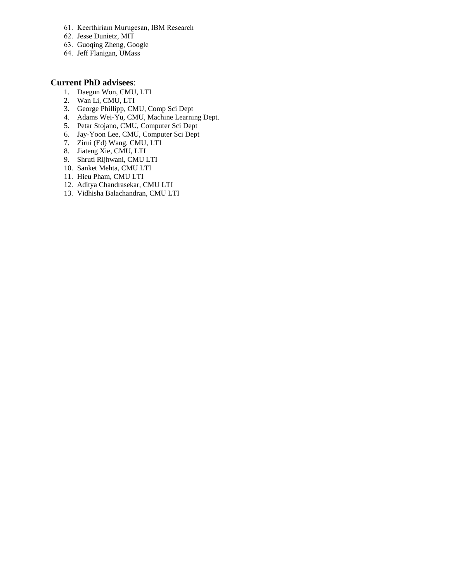- 61. Keerthiriam Murugesan, IBM Research
- 62. Jesse Dunietz, MIT
- 63. Guoqing Zheng, Google
- 64. Jeff Flanigan, UMass

# **Current PhD advisees**:

- 1. Daegun Won, CMU, LTI
- 2. Wan Li, CMU, LTI
- 3. George Phillipp, CMU, Comp Sci Dept
- 4. Adams Wei-Yu, CMU, Machine Learning Dept.
- 5. Petar Stojano, CMU, Computer Sci Dept
- 6. Jay-Yoon Lee, CMU, Computer Sci Dept
- 7. Zirui (Ed) Wang, CMU, LTI
- 8. Jiateng Xie, CMU, LTI
- 9. Shruti Rijhwani, CMU LTI
- 10. Sanket Mehta, CMU LTI
- 11. Hieu Pham, CMU LTI
- 12. Aditya Chandrasekar, CMU LTI
- 13. Vidhisha Balachandran, CMU LTI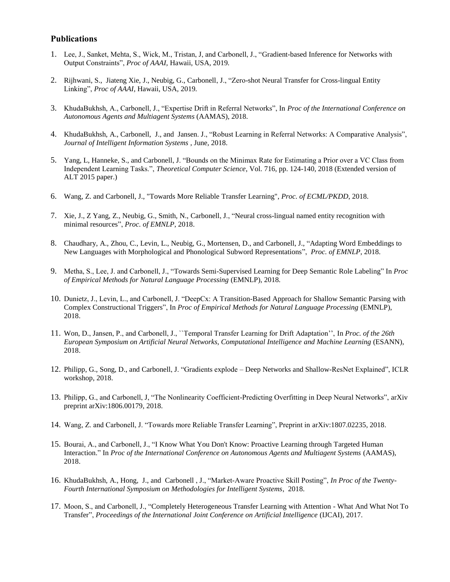### **Publications**

- 1. Lee, J., Sanket, Mehta, S., Wick, M., Tristan, J, and Carbonell, J., "Gradient-based Inference for Networks with Output Constraints", *Proc of AAAI,* Hawaii, USA*,* 2019*.*
- 2. Rijhwani, S., Jiateng Xie, J., Neubig, G., Carbonell, J., "Zero-shot Neural Transfer for Cross-lingual Entity Linking", *Proc of AAAI,* Hawaii, USA*,* 2019*.*
- 3. KhudaBukhsh, A., Carbonell, J., "Expertise Drift in Referral Networks", In *Proc of the International Conference on Autonomous Agents and Multiagent Systems* (AAMAS), 2018.
- 4. KhudaBukhsh, A., Carbonell, J., and Jansen. J., "Robust Learning in Referral Networks: A Comparative Analysis", *Journal of Intelligent Information Systems* , June, 2018.
- 5. Yang, L, Hanneke, S., and Carbonell, J. "Bounds on the Minimax Rate for Estimating a Prior over a VC Class from Independent Learning Tasks.", *Theoretical Computer Science*, Vol. 716, pp. 124-140, 2018 (Extended version of ALT 2015 paper.)
- 6. Wang, Z. and Carbonell, J., "Towards More Reliable Transfer Learning", *Proc. of ECML/PKDD*, 2018.
- 7. Xie, J., Z Yang, Z., Neubig, G., Smith, N., Carbonell, J., "Neural cross-lingual named entity recognition with minimal resources", *Proc. of EMNLP*, 2018.
- 8. Chaudhary, A., Zhou, C., Levin, L., Neubig, G., Mortensen, D., and Carbonell, J., "Adapting Word Embeddings to New Languages with Morphological and Phonological Subword Representations", *Proc. of EMNLP*, 2018.
- 9. Metha, S., Lee, J. and Carbonell, J., "Towards Semi-Supervised Learning for Deep Semantic Role Labeling" In *Proc of Empirical Methods for Natural Language Processing* (EMNLP), 2018.
- 10. Dunietz, J., Levin, L., and Carbonell, J. "DeepCx: A Transition-Based Approach for Shallow Semantic Parsing with Complex Constructional Triggers", In *Proc of Empirical Methods for Natural Language Processing* (EMNLP), 2018.
- 11. Won, D., Jansen, P., and Carbonell, J., ``Temporal Transfer Learning for Drift Adaptation'', In *Proc. of the 26th European Symposium on Artificial Neural Networks, Computational Intelligence and Machine Learning* (ESANN), 2018.
- 12. Philipp, G., Song, D., and Carbonell, J. "Gradients explode Deep Networks and Shallow-ResNet Explained", ICLR workshop, 2018.
- 13. Philipp, G., and Carbonell, J, "The Nonlinearity Coefficient-Predicting Overfitting in Deep Neural Networks", arXiv preprint arXiv:1806.00179, 2018.
- 14. Wang, Z. and Carbonell, J. "Towards more Reliable Transfer Learning", Preprint in arXiv:1807.02235, 2018.
- 15. Bourai, A., and Carbonell, J., "I Know What You Don't Know: Proactive Learning through Targeted Human Interaction." In *Proc of the International Conference on Autonomous Agents and Multiagent Systems* (AAMAS), 2018.
- 16. KhudaBukhsh, A., Hong, J., and Carbonell , J., "Market-Aware Proactive Skill Posting", *In Proc of the Twenty-Fourth International Symposium on Methodologies for Intelligent Systems*, 2018.
- 17. Moon, S., and Carbonell, J., "Completely Heterogeneous Transfer Learning with Attention What And What Not To Transfer", *Proceedings of the International Joint Conference on Artificial Intelligence* (IJCAI), 2017.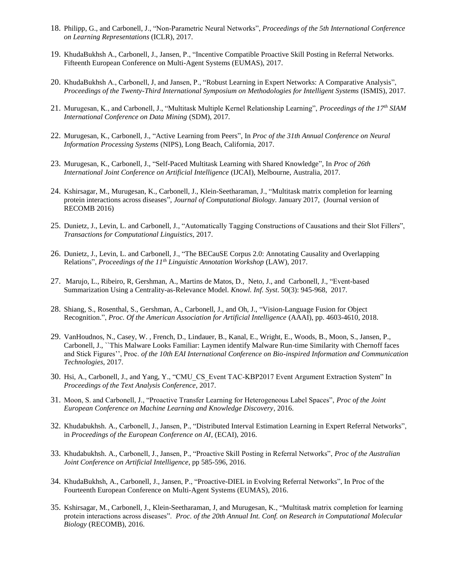- 18. Philipp, G., and Carbonell, J., "Non-Parametric Neural Networks", *Proceedings of the 5th International Conference on Learning Representations* (ICLR), 2017.
- 19. KhudaBukhsh A., Carbonell, J., Jansen, P., "Incentive Compatible Proactive Skill Posting in Referral Networks. Fifteenth European Conference on Multi-Agent Systems (EUMAS), 2017.
- 20. KhudaBukhsh A., Carbonell, J, and Jansen, P., "Robust Learning in Expert Networks: A Comparative Analysis", *Proceedings of the Twenty-Third International Symposium on Methodologies for Intelligent Systems* (ISMIS), 2017.
- 21. Murugesan, K., and Carbonell, J., "Multitask Multiple Kernel Relationship Learning", *Proceedings of the 17th SIAM International Conference on Data Mining* (SDM), 2017.
- 22. Murugesan, K., Carbonell, J., "Active Learning from Peers", In *Proc of the 31th Annual Conference on Neural Information Processing Systems* (NIPS), Long Beach, California, 2017.
- 23. Murugesan, K., Carbonell, J., "Self-Paced Multitask Learning with Shared Knowledge", In *Proc of 26th International Joint Conference on Artificial Intelligence* (IJCAI), Melbourne, Australia, 2017.
- 24. Kshirsagar, M., Murugesan, K., Carbonell, J., Klein-Seetharaman, J., "Multitask matrix completion for learning protein interactions across diseases", *Journal of Computational Biology*. January 2017, (Journal version of RECOMB 2016)
- 25. Dunietz, J., Levin, L. and Carbonell, J., "Automatically Tagging Constructions of Causations and their Slot Fillers", *Transactions for Computational Linguistics*, 2017.
- 26. Dunietz, J., Levin, L. and Carbonell, J., "The BECauSE Corpus 2.0: Annotating Causality and Overlapping Relations", *Proceedings of the 11th Linguistic Annotation Workshop* (LAW), 2017.
- 27. Marujo, L., Ribeiro, R, Gershman, A., Martins de Matos, D., Neto, J., and Carbonell, J., "Event-based Summarization Using a Centrality-as-Relevance Model. *Knowl. Inf. Syst*. 50(3): 945-968, 2017.
- 28. Shiang, S., Rosenthal, S., Gershman, A., Carbonell, J., and Oh, J., "Vision-Language Fusion for Object Recognition.", *Proc. Of the American Association for Artificial Intelligence* (AAAI), pp. 4603-4610, 2018.
- 29. VanHoudnos, N., Casey, W. , French, D., Lindauer, B., Kanal, E., Wright, E., Woods, B., Moon, S., Jansen, P., Carbonell, J., ``This Malware Looks Familiar: Laymen identify Malware Run-time Similarity with Chernoff faces and Stick Figures'', Proc. *of the 10th EAI International Conference on Bio-inspired Information and Communication Technologies*, 2017.
- 30. Hsi, A., Carbonell, J., and Yang, Y., "CMU\_CS\_Event TAC-KBP2017 Event Argument Extraction System" In *Proceedings of the Text Analysis Conference*, 2017.
- 31. Moon, S. and Carbonell, J., "Proactive Transfer Learning for Heterogeneous Label Spaces", *Proc of the Joint European Conference on Machine Learning and Knowledge Discovery*, 2016.
- 32. Khudabukhsh. A., Carbonell, J., Jansen, P., "Distributed Interval Estimation Learning in Expert Referral Networks", in *Proceedings of the European Conference on AI*, (ECAI), 2016.
- 33. Khudabukhsh. A., Carbonell, J., Jansen, P., "Proactive Skill Posting in Referral Networks", *Proc of the Australian Joint Conference on Artificial Intelligence*, pp 585-596, 2016.
- 34. KhudaBukhsh, A., Carbonell, J., Jansen, P., "Proactive-DIEL in Evolving Referral Networks", In Proc of the Fourteenth European Conference on Multi-Agent Systems (EUMAS), 2016.
- 35. Kshirsagar, M., Carbonell, J., Klein-Seetharaman, J, and Murugesan, K., "Multitask matrix completion for learning protein interactions across diseases". *Proc. of the 20th Annual Int. Conf. on Research in Computational Molecular Biology* (RECOMB), 2016.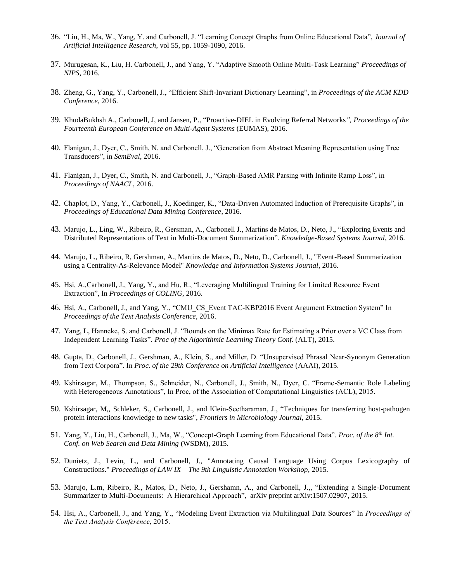- 36. "Liu, H., Ma, W., Yang, Y. and Carbonell, J. "Learning Concept Graphs from Online Educational Data", *Journal of Artificial Intelligence Research*, vol 55, pp. 1059-1090, 2016.
- 37. Murugesan, K., Liu, H. Carbonell, J., and Yang, Y. "Adaptive Smooth Online Multi-Task Learning" *Proceedings of NIPS*, 2016.
- 38. Zheng, G., Yang, Y., Carbonell, J., "Efficient Shift-Invariant Dictionary Learning", in *Proceedings of the ACM KDD Conference*, 2016.
- 39. KhudaBukhsh A., Carbonell, J, and Jansen, P., "Proactive-DIEL in Evolving Referral Networks*", Proceedings of the Fourteenth European Conference on Multi-Agent Systems* (EUMAS), 2016.
- 40. Flanigan, J., Dyer, C., Smith, N. and Carbonell, J., "Generation from Abstract Meaning Representation using Tree Transducers", in *SemEval*, 2016.
- 41. Flanigan, J., Dyer, C., Smith, N. and Carbonell, J., "Graph-Based AMR Parsing with Infinite Ramp Loss", in *Proceedings of NAACL*, 2016.
- 42. Chaplot, D., Yang, Y., Carbonell, J., Koedinger, K., "Data-Driven Automated Induction of Prerequisite Graphs", in *Proceedings of Educational Data Mining Conference*, 2016.
- 43. Marujo, L., Ling, W., Ribeiro, R., Gersman, A., Carbonell J., Martins de Matos, D., Neto, J., "Exploring Events and Distributed Representations of Text in Multi-Document Summarization". *Knowledge-Based Systems Journal*, 2016.
- 44. Marujo, L., Ribeiro, R, Gershman, A., Martins de Matos, D., Neto, D., Carbonell, J., "Event-Based Summarization using a Centrality-As-Relevance Model" *Knowledge and Information Systems Journal*, 2016.
- 45. Hsi, A.,Carbonell, J., Yang, Y., and Hu, R., "Leveraging Multilingual Training for Limited Resource Event Extraction", In *Proceedings of COLING*, 2016.
- 46. Hsi, A., Carbonell, J., and Yang, Y., "CMU\_CS\_Event TAC-KBP2016 Event Argument Extraction System" In *Proceedings of the Text Analysis Conference*, 2016.
- 47. Yang, L, Hanneke, S. and Carbonell, J. "Bounds on the Minimax Rate for Estimating a Prior over a VC Class from Independent Learning Tasks". *Proc of the Algorithmic Learning Theory Conf*. (ALT), 2015.
- 48. Gupta, D., Carbonell, J., Gershman, A., Klein, S., and Miller, D. "Unsupervised Phrasal Near-Synonym Generation from Text Corpora". In *Proc. of the 29th Conference on Artificial Intelligence* (AAAI), 2015.
- 49. Kshirsagar, M., Thompson, S., Schneider, N., Carbonell, J., Smith, N., Dyer, C. "Frame-Semantic Role Labeling with Heterogeneous Annotations", In Proc, of the Association of Computational Linguistics (ACL), 2015.
- 50. Kshirsagar, M,, Schleker, S., Carbonell, J., and Klein-Seetharaman, J., "Techniques for transferring host-pathogen protein interactions knowledge to new tasks", *Frontiers in Microbiology Journal*, 2015.
- 51. Yang, Y., Liu, H., Carbonell, J., Ma, W., "Concept-Graph Learning from Educational Data". *Proc. of the 8th Int. Conf. on Web Search and Data Mining* (WSDM), 2015.
- 52. Dunietz, J., Levin, L., and Carbonell, J., "Annotating Causal Language Using Corpus Lexicography of Constructions." *Proceedings of LAW IX – The 9th Linguistic Annotation Workshop*, 2015.
- 53. Marujo, L.m, Ribeiro, R., Matos, D., Neto, J., Gershamn, A., and Carbonell, J.,, "Extending a Single-Document Summarizer to Multi-Documents: A Hierarchical Approach", arXiv preprint arXiv:1507.02907, 2015.
- 54. Hsi, A., Carbonell, J., and Yang, Y., "Modeling Event Extraction via Multilingual Data Sources" In *Proceedings of the Text Analysis Conference*, 2015.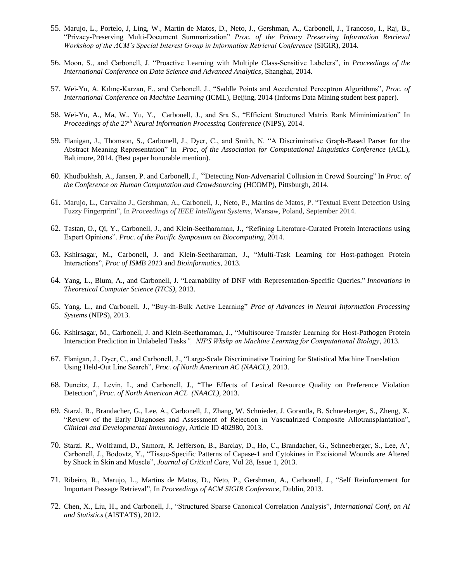- 55. Marujo, L., Portelo, J, Ling, W., Martin de Matos, D., Neto, J., Gershman, A., Carbonell, J., Trancoso, I., Raj, B., "Privacy-Preserving Multi-Document Summarization" *Proc. of the Privacy Preserving Information Retrieval Workshop of the ACM's Special Interest Group in Information Retrieval Conference* (SIGIR), 2014.
- 56. Moon, S., and Carbonell, J. "Proactive Learning with Multiple Class-Sensitive Labelers", in *Proceedings of the International Conference on Data Science and Advanced Analytics*, Shanghai, 2014.
- 57. Wei-Yu, A. Kılınç-Karzan, F., and Carbonell, J., "Saddle Points and Accelerated Perceptron Algorithms", *Proc. of International Conference on Machine Learning* (ICML), Beijing, 2014 (Informs Data Mining student best paper).
- 58. Wei-Yu, A., Ma, W., Yu, Y., Carbonell, J., and Sra S., "Efficient Structured Matrix Rank Miminimization" In *Proceedings of the 27th Neural Information Processing Conference* (NIPS), 2014.
- 59. Flanigan, J., Thomson, S., Carbonell, J., Dyer, C., and Smith, N. "A Discriminative Graph-Based Parser for the Abstract Meaning Representation" In *Proc, of the Association for Computational Linguistics Conference* (ACL), Baltimore, 2014. (Best paper honorable mention).
- 60. Khudbukhsh, A., Jansen, P. and Carbonell, J., "Detecting Non-Adversarial Collusion in Crowd Sourcing" In *Proc. of the Conference on Human Computation and Crowdsourcing* (HCOMP), Pittsburgh, 2014.
- 61. Marujo, L., Carvalho J., Gershman, A., Carbonell, J., Neto, P., Martins de Matos, P. "Textual Event Detection Using Fuzzy Fingerprint", In *Proceedings of IEEE Intelligent Systems*, Warsaw, Poland, September 2014.
- 62. Tastan, O., Qi, Y., Carbonell, J., and Klein-Seetharaman, J., "Refining Literature-Curated Protein Interactions using Expert Opinions". *Proc. of the Pacific Symposium on Biocomputing*, 2014.
- 63. Kshirsagar, M., Carbonell, J. and Klein-Seetharaman, J., "Multi-Task Learning for Host-pathogen Protein Interactions", *Proc of ISMB 2013* and *Bioinformatics*, 2013.
- 64. Yang, L., Blum, A., and Carbonell, J. ["Learnability of DNF with Representation-Specific Queries.](http://www.cs.cmu.edu/~liuy/dnf_queries_ITCS.pdf)" *Innovations in Theoretical Computer Science (ITCS),* 2013.
- 65. Yang. L., and Carbonell, J., "Buy-in-Bulk Active Learning" *Proc of Advances in Neural Information Processing Systems* (NIPS), 2013.
- 66. Kshirsagar, M., Carbonell, J. and Klein-Seetharaman, J., "Multisource Transfer Learning for Host-Pathogen Protein Interaction Prediction in Unlabeled Tasks*", NIPS Wkshp on Machine Learning for Computational Biology*, 2013.
- 67. Flanigan, J., Dyer, C., and Carbonell, J., "Large-Scale Discriminative Training for Statistical Machine Translation Using Held-Out Line Search", *Proc. of North American AC (NAACL)*, 2013.
- 68. Duneitz, J., Levin, L, and Carbonell, J., "The Effects of Lexical Resource Quality on Preference Violation Detection", *Proc. of North American ACL (NAACL)*, 2013.
- 69. Starzl, R., Brandacher, G., Lee, A., Carbonell, J., Zhang, W. Schnieder, J. Gorantla, B. Schneeberger, S., Zheng, X. "Review of the Early Diagnoses and Assessment of Rejection in Vascualrized Composite Allotransplantation", *Clinical and Developmental Immunology*, Article ID 402980, 2013.
- 70. Starzl. R., Wolframd, D., Samora, R. Jefferson, B., Barclay, D., Ho, C., Brandacher, G., Schneeberger, S., Lee, A', Carbonell, J., Bodovtz, Y., "Tissue-Specific Patterns of Capase-1 and Cytokines in Excisional Wounds are Altered by Shock in Skin and Muscle", *Journal of Critical Care*, Vol 28, Issue 1, 2013.
- 71. Ribeiro, R., Marujo, L., Martins de Matos, D., Neto, P., Gershman, A., Carbonell, J., ["Self Reinforcement for](http://www.cs.cmu.edu/~lmarujo/publications/lmarujo_SIGIR_2013.pdf)  [Important Passage Retrieval"](http://www.cs.cmu.edu/~lmarujo/publications/lmarujo_SIGIR_2013.pdf), In *Proceedings of ACM SIGIR Conference*, Dublin, 2013.
- 72. Chen, X., Liu, H., and Carbonell, J., "Structured Sparse Canonical Correlation Analysis", *International Conf, on AI and Statistics* (AISTATS), 2012.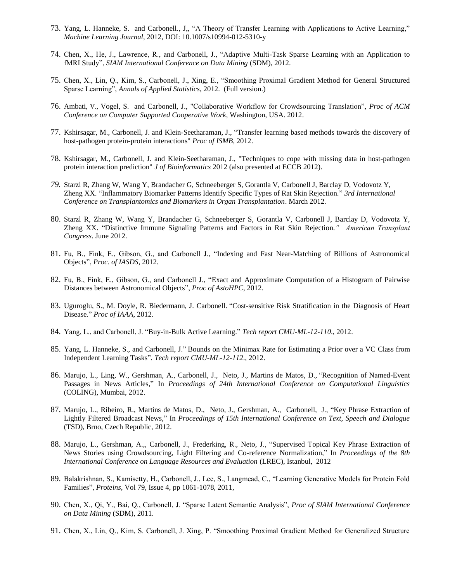- 73. Yang, L. Hanneke, S. and Carbonell., J,, "A Theory of Transfer Learning with Applications to Active Learning," *Machine Learning Journal,* 2012, DOI: 10.1007/s10994-012-5310-y
- 74. Chen, X., He, J., Lawrence, R., and Carbonell, J., "Adaptive Multi-Task Sparse Learning with an Application to fMRI Study", *SIAM International Conference on Data Mining* (SDM), 2012.
- 75. Chen, X., Lin, Q., Kim, S., Carbonell, J., Xing, E., "Smoothing Proximal Gradient Method for General Structured Sparse Learning", *Annals of Applied Statistics*, 2012. (Full version.)
- 76. Ambati, V., Vogel, S. and Carbonell, J., "Collaborative Workflow for Crowdsourcing Translation", *Proc of ACM Conference on Computer Supported Cooperative Work*, Washington, USA. 2012.
- 77. Kshirsagar, M., Carbonell, J. and Klein-Seetharaman, J., "Transfer learning based methods towards the discovery of host-pathogen protein-protein interactions" *Proc of ISMB,* 2012.
- 78. Kshirsagar, M., Carbonell, J. and Klein-Seetharaman, J., "Techniques to cope with missing data in host-pathogen protein interaction prediction" *J of Bioinformatics* 2012 (also presented at ECCB 2012).
- *79.* Starzl R, Zhang W, Wang Y, Brandacher G, Schneeberger S, Gorantla V, Carbonell J, Barclay D, Vodovotz Y, Zheng XX. "Inflammatory Biomarker Patterns Identify Specific Types of Rat Skin Rejection." *3rd International Conference on Transplantomics and Biomarkers in Organ Transplantation*. March 2012.
- 80. Starzl R, Zhang W, Wang Y, Brandacher G, Schneeberger S, Gorantla V, Carbonell J, Barclay D, Vodovotz Y, Zheng XX. "Distinctive Immune Signaling Patterns and Factors in Rat Skin Rejection.*" American Transplant Congress*. June 2012.
- 81. Fu, B., Fink, E., Gibson, G., and Carbonell J., "Indexing and Fast Near-Matching of Billions of Astronomical Objects", *Proc. of IASDS*, 2012.
- 82. Fu, B., Fink, E., Gibson, G., and Carbonell J., "Exact and Approximate Computation of a Histogram of Pairwise Distances between Astronomical Objects", *Proc of AstoHPC*, 2012.
- 83. Uguroglu, S., M. Doyle, R. Biedermann, J. Carbonell. "Cost-sensitive Risk Stratification in the Diagnosis of Heart Disease." *Proc of IAAA*, 2012.
- 84. Yang, L., and Carbonell, J. ["Buy-in-Bulk Active Learning."](http://reports-archive.adm.cs.cmu.edu/anon/ml2011/CMU-ML-12-110.pdf) *Tech report CMU-ML-12-110*., 2012.
- 85. Yang, L. Hanneke, S., and Carbonell, J." [Bounds on the Minimax Rate for Estimating a Prior over a VC Class from](http://reports-archive.adm.cs.cmu.edu/anon/ml2011/CMU-ML-12-112.pdf)  [Independent Learning Tasks"](http://reports-archive.adm.cs.cmu.edu/anon/ml2011/CMU-ML-12-112.pdf). *Tech report CMU-ML-12-112*., 2012.
- 86. Marujo, L., Ling, W., Gershman, A., Carbonell, J., Neto, J., Martins de Matos, D., ["Recognition of Named-Event](http://www.cs.cmu.edu/~lmarujo/publications/lmarujo_Coling_2012.pdf)  [Passages in News Articles,](http://www.cs.cmu.edu/~lmarujo/publications/lmarujo_Coling_2012.pdf)" In *Proceedings of 24th International Conference on Computational Linguistics*  (COLING), Mumbai, 2012.
- 87. Marujo, L., Ribeiro, R., Martins de Matos, D., Neto, J., Gershman, A., Carbonell, [J., "Key Phrase Extraction of](http://www.cs.cmu.edu/~lmarujo/publications/lmarujo_TSD_2012.pdf)  [Lightly Filtered Broadcast News,"](http://www.cs.cmu.edu/~lmarujo/publications/lmarujo_TSD_2012.pdf) In *Proceedings of 15th International Conference on Text, Speech and Dialogue* (TSD), Brno, Czech Republic, 2012.
- 88. Marujo, L., Gershman, A.,, Carbonell, J., Frederking, R., Neto, J., ["Supervised Topical Key Phrase Extraction of](http://www.cs.cmu.edu/~lmarujo/publications/lmarujo_LREC_2012.pdf)  [News Stories using Crowdsourcing, Light Filtering and Co-reference Normalization,"](http://www.cs.cmu.edu/~lmarujo/publications/lmarujo_LREC_2012.pdf) In *Proceedings of the 8th International Conference on Language Resources and Evaluation* (LREC), Istanbul, 2012
- 89. Balakrishnan, S., Kamisetty, H., Carbonell, J., Lee, S., Langmead, C., "Learning Generative Models for Protein Fold Families", *Proteins*, Vol 79, Issue 4, pp 1061-1078, 2011,
- 90. Chen, X., Qi, Y., Bai, Q., Carbonell, J. "Sparse Latent Semantic Analysis", *Proc of SIAM International Conference on Data Mining* (SDM), 2011.
- 91. Chen, X., Lin, Q., Kim, S. Carbonell, J. Xing, P. "Smoothing Proximal Gradient Method for Generalized Structure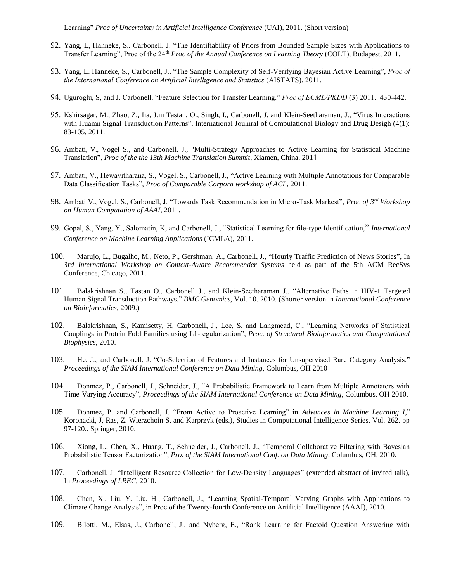- 92. Yang, L, Hanneke, S., Carbonell, J. "The Identifiability of Priors from Bounded Sample Sizes with Applications to Transfer Learning", Proc of the 24th *Proc of the Annual Conference on Learning Theory* (COLT), Budapest, 2011.
- 93. Yang, L. Hanneke, S., Carbonell, J., "The Sample Complexity of Self-Verifying Bayesian Active Learning", *Proc of the International Conference on Artificial Intelligence and Statistics* (AISTATS), 2011.
- 94. Uguroglu, S, and J. Carbonell. "Feature Selection for Transfer Learning." *Proc of ECML/PKDD* (3) 2011. 430-442.
- 95. Kshirsagar, M., Zhao, Z., Iia, J.m Tastan, O., Singh, I., Carbonell, J. and Klein-Seetharaman, J., "Virus Interactions with Huamn Signal Transduction Patterns", International Jouinral of Computational Biology and Drug Desigh (4(1): 83-105, 2011.
- 96. Ambati, V., Vogel S., and Carbonell, J., "Multi-Strategy Approaches to Active Learning for Statistical Machine Translation", *Proc of the the 13th Machine Translation Summit*, Xiamen, China. 2011
- 97. Ambati, V., Hewavitharana, S., Vogel, S., Carbonell, J., "Active Learning with Multiple Annotations for Comparable Data Classification Tasks", *Proc of Comparable Corpora workshop of ACL*, 2011.
- 98. Ambati V., Vogel, S., Carbonell, J. "Towards Task Recommendation in Micro-Task Markest", *Proc of 3rd Workshop on Human Computation of AAAI*, 2011.
- 99. Gopal, S., Yang, Y., Salomatin, K, and Carbonell, J., "Statistical Learning for file-type Identification," *International Conference on Machine Learning Applications* (ICMLA), 2011.
- 100. Marujo, L., Bugalho, M., Neto, P., Gershman, A., Carbonell, J., ["Hourly Traffic Prediction of News Stories"](http://www.inesc-id.pt/pt/indicadores/Ficheiros/7589.pdf), In *3rd International Workshop on Context-Aware Recommender Systems* held as part of the 5th ACM RecSys Conference, Chicago, 2011.
- 101. Balakrishnan S., Tastan O., Carbonell J., and Klein-Seetharaman J., "Alternative Paths in HIV-1 Targeted Human Signal Transduction Pathways." *BMC Genomics*, Vol. 10. 2010. (Shorter version in *International Conference on Bioinformatics*, 2009.)
- 102. Balakrishnan, S., Kamisetty, H, Carbonell, J., Lee, S. and Langmead, C., "Learning Networks of Statistical Couplings in Protein Fold Families using L1-regularization", *Proc. of Structural Bioinformatics and Computational Biophysics*, 2010.
- 103. He, J., and Carbonell, J. "Co-Selection of Features and Instances for Unsupervised Rare Category Analysis." *Proceedings of the SIAM International Conference on Data Mining*, Columbus, OH 2010
- 104. Donmez, P., Carbonell, J., Schneider, J., "A Probabilistic Framework to Learn from Multiple Annotators with Time-Varying Accuracy", *Proceedings of the SIAM International Conference on Data Mining*, Columbus, OH 2010.
- 105. Donmez, P. and Carbonell, J. "From Active to Proactive Learning" in *Advances in Machine Learning I*," Koronacki, J, Ras, Z. Wierzchoin S, and Karprzyk (eds.), Studies in Computational Intelligence Series, Vol. 262. pp 97-120.. Springer, 2010.
- 106. Xiong, L., Chen, X., Huang, T., Schneider, J., Carbonell, J., "Temporal Collaborative Filtering with Bayesian Probabilistic Tensor Factorization", *Pro. of the SIAM International Conf. on Data Mining*, Columbus, OH, 2010.
- 107. Carbonell, J. "Intelligent Resource Collection for Low-Density Languages" (extended abstract of invited talk), In *Proceedings of LREC*, 2010.
- 108. Chen, X., Liu, Y. Liu, H., Carbonell, J., "Learning Spatial-Temporal Varying Graphs with Applications to Climate Change Analysis", in Proc of the Twenty-fourth Conference on Artificial Intelligence (AAAI), 2010.
- 109. Bilotti, M., Elsas, J., Carbonell, J., and Nyberg, E., "Rank Learning for Factoid Question Answering with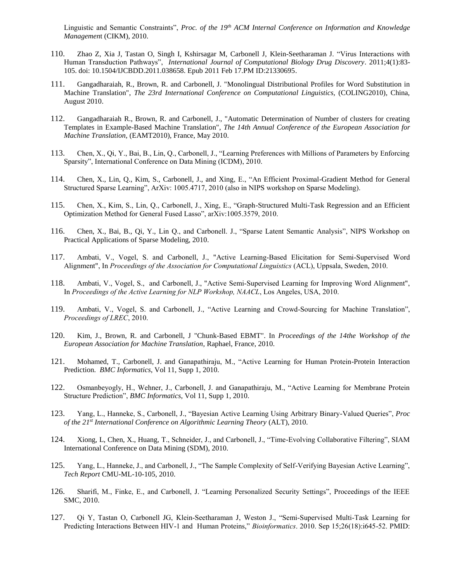Linguistic and Semantic Constraints", *Proc. of the 19th ACM Internal Conference on Information and Knowledge Managemen*t (CIKM), 2010.

- 110. Zhao Z, Xia J, Tastan O, Singh I, Kshirsagar M, Carbonell J, Klein-Seetharaman J. "Virus Interactions with Human Transduction Pathways", *International Journal of Computational Biology Drug Discovery*. 2011;4(1):83- 105. doi: 10.1504/IJCBDD.2011.038658. Epub 2011 Feb 17.PM ID:21330695.
- 111. Gangadharaiah, R., Brown, R. and Carbonell, J. "Monolingual Distributional Profiles for Word Substitution in Machine Translation", *The 23rd International Conference on Computational Linguistics*, (COLING2010), China, August 2010.
- 112. Gangadharaiah R., Brown, R. and Carbonell, J., "Automatic Determination of Number of clusters for creating Templates in Example-Based Machine Translation", *The 14th Annual Conference of the European Association for Machine Translation,* (EAMT2010), France, May 2010.
- 113. Chen, X., Qi, Y., Bai, B., Lin, Q., Carbonell, J., "Learning Preferences with Millions of Parameters by Enforcing Sparsity", International Conference on Data Mining (ICDM), 2010.
- 114. Chen, X., Lin, Q., Kim, S., Carbonell, J., and Xing, E., "An Efficient Proximal-Gradient Method for General Structured Sparse Learning", ArXiv: 1005.4717, 2010 (also in NIPS workshop on Sparse Modeling).
- 115. Chen, X., Kim, S., Lin, Q., Carbonell, J., Xing, E., "Graph-Structured Multi-Task Regression and an Efficient Optimization Method for General Fused Lasso", arXiv:1005.3579, 2010.
- 116. Chen, X., Bai, B., Qi, Y., Lin Q., and Carbonell. J., "Sparse Latent Semantic Analysis", NIPS Workshop on Practical Applications of Sparse Modeling, 2010.
- 117. Ambati, V., Vogel, S. and Carbonell, J., "Active Learning-Based Elicitation for Semi-Supervised Word Alignment", In *Proceedings of the Association for Computational Linguistics* (ACL), Uppsala, Sweden, 2010.
- 118. Ambati, V., Vogel, S., and Carbonell, J., "Active Semi-Supervised Learning for Improving Word Alignment", In *Proceedings of the Active Learning for NLP Workshop, NAACL*, Los Angeles, USA, 2010.
- 119. Ambati, V., Vogel, S. and Carbonell, J., "Active Learning and Crowd-Sourcing for Machine Translation", *Proceedings of LREC*, 2010.
- 120. Kim, J., Brown, R. and Carbonell, J "Chunk-Based EBMT". In *Proceedings of the 14the Workshop of the European Association for Machine Translation,* Raphael, France, 2010.
- 121. Mohamed, T., Carbonell, J. and Ganapathiraju, M., "Active Learning for Human Protein-Protein Interaction Prediction. *BMC Informatics*, Vol 11, Supp 1, 2010.
- 122. Osmanbeyogly, H., Wehner, J., Carbonell, J. and Ganapathiraju, M., "Active Learning for Membrane Protein Structure Prediction", *BMC Informatics*, Vol 11, Supp 1, 2010.
- 123. Yang, L., Hanneke, S., Carbonell, J., "Bayesian Active Learning Using Arbitrary Binary-Valued Queries", *Proc of the 21st International Conference on Algorithmic Learning Theory* (ALT), 2010.
- 124. Xiong, L, Chen, X., Huang, T., Schneider, J., and Carbonell, J., "Time-Evolving Collaborative Filtering", SIAM International Conference on Data Mining (SDM), 2010.
- 125. Yang, L., Hanneke, J., and Carbonell, J., "The Sample Complexity of Self-Verifying Bayesian Active Learning", *Tech Report* CMU-ML-10-105, 2010.
- 126. Sharifi, M., Finke, E., and Carbonell, J. "Learning Personalized Security Settings", Proceedings of the IEEE SMC, 2010.
- 127. Qi Y, Tastan O, Carbonell JG, Klein-Seetharaman J, Weston J., "Semi-Supervised Multi-Task Learning for Predicting Interactions Between HIV-1 and Human Proteins," *Bioinformatics*. 2010. Sep 15;26(18):i645-52. PMID: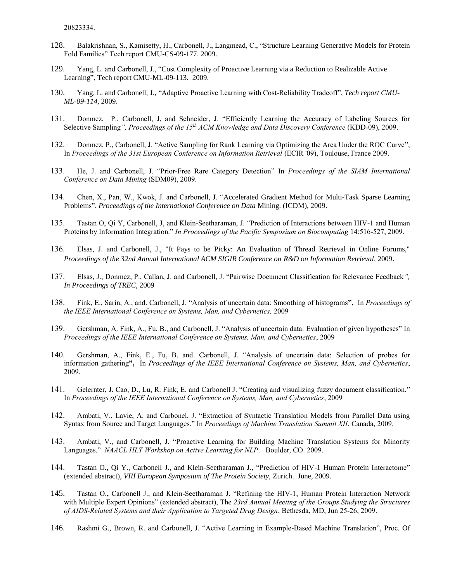20823334.

- 128. Balakrishnan, S., Kamisetty, H., Carbonell, J., Langmead, C., "Structure Learning Generative Models for Protein Fold Families" Tech report CMU-CS-09-177. 2009.
- 129. Yang, L. and Carbonell, J., "Cost Complexity of Proactive Learning via a Reduction to Realizable Active Learning", Tech report CMU-ML-09-113*.* 2009.
- 130. Yang, L. and Carbonell, J., "Adaptive Proactive Learning with Cost-Reliability Tradeoff", *Tech report CMU-ML-09-114*, 2009.
- 131. Donmez, P., Carbonell, J, and Schneider, J. "Efficiently Learning the Accuracy of Labeling Sources for Selective Sampling*", Proceedings of the 15th ACM Knowledge and Data Discovery Conference* (KDD-09), 2009.
- 132. Donmez, P., Carbonell, J. "Active Sampling for Rank Learning via Optimizing the Area Under the ROC Curve", In *Proceedings of the 31st European Conference on Information Retrieval* (ECIR '09), Toulouse, France 2009.
- 133. He, J. and Carbonell, J. "Prior-Free Rare Category Detection" In *Proceedings of the SIAM International Conference on Data Mining* (SDM09), 2009.
- 134. Chen, X., Pan, W., Kwok, J. and Carbonell, J. "Accelerated Gradient Method for Multi-Task Sparse Learning Problems", *Proceedings of the International Conference on Data* Mining. (ICDM), 2009.
- 135. Tastan O, Qi Y, Carbonell, J, and Klein-Seetharaman, J. "Prediction of Interactions between HIV-1 and Human Proteins by Information Integration." *In Proceedings of the Pacific Symposium on Biocomputing* 14:516-527, 2009.
- 136. Elsas, J. and Carbonell, J., "It Pays to be Picky: An Evaluation of Thread Retrieval in Online Forums," *Proceedings of the 32nd Annual International ACM SIGIR Conference on R&D on Information Retrieval*, 2009.
- 137. Elsas, J., Donmez, P., Callan, J. and Carbonell, J. "Pairwise Document Classification for Relevance Feedback*", In Proceedings of TREC*, 2009
- 138. Fink, E., Sarin, A., and. Carbonell, J. "Analysis of uncertain data: Smoothing of histograms**",** In *Proceedings of the IEEE International Conference on Systems, Man, and Cybernetics,* 2009
- 139. Gershman, A. Fink, A., Fu, B., and Carbonell, J. "Analysis of uncertain data: Evaluation of given hypotheses" In *Proceedings of the IEEE International Conference on Systems, Man, and Cybernetics*, 2009
- 140. Gershman, A., Fink, E., Fu, B. and. Carbonell, J. "Analysis of uncertain data: Selection of probes for information gathering**",** In *Proceedings of the IEEE International Conference on Systems, Man, and Cybernetics*, 2009.
- 141. Gelernter, J. Cao, D., Lu, R. Fink, E. and Carbonell J. "Creating and visualizing fuzzy document classification." In *Proceedings of the IEEE International Conference on Systems, Man, and Cybernetics*, 2009
- 142. Ambati, V., Lavie, A. and Carbonel, J. "Extraction of Syntactic Translation Models from Parallel Data using Syntax from Source and Target Languages." In *Proceedings of Machine Translation Summit XII*, Canada, 2009.
- 143. Ambati, V., and Carbonell, J. "Proactive Learning for Building Machine Translation Systems for Minority Languages." *NAACL HLT Workshop on Active Learning for NLP*. Boulder, CO. 2009.
- 144. Tastan O., Qi Y., Carbonell J., and Klein-Seetharaman J., "Prediction of HIV-1 Human Protein Interactome" (extended abstract), *VIII European Symposium of The Protein Society,* Zurich. June, 2009.
- 145. Tastan O.**,** Carbonell J., and Klein-Seetharaman J. "Refining the HIV-1, Human Protein Interaction Network with Multiple Expert Opinions" (extended abstract), The *23rd Annual Meeting of the Groups Studying the Structures of AIDS-Related Systems and their Application to Targeted Drug Design*, Bethesda, MD, Jun 25-26, 2009.
- 146. Rashmi G., Brown, R. and Carbonell, J. "Active Learning in Example-Based Machine Translation", Proc. Of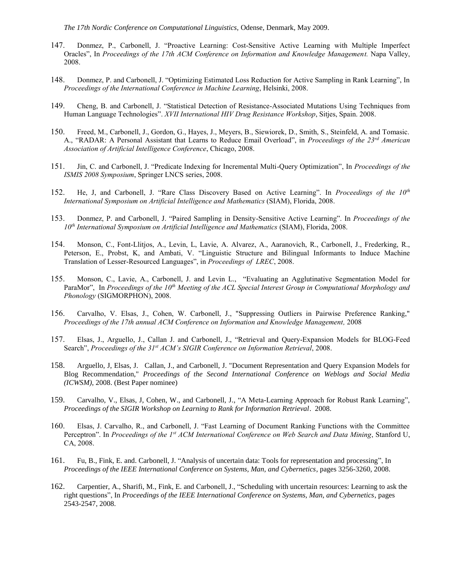*The 17th Nordic Conference on Computational Linguistics,* Odense, Denmark, May 2009.

- 147. Donmez, P., Carbonell, J. "Proactive Learning: Cost-Sensitive Active Learning with Multiple Imperfect Oracles", In *Proceedings of the 17th ACM Conference on Information and Knowledge Management.* Napa Valley, 2008.
- 148. Donmez, P. and Carbonell, J. "Optimizing Estimated Loss Reduction for Active Sampling in Rank Learning", In *Proceedings of the International Conference in Machine Learning*, Helsinki, 2008.
- 149. Cheng, B. and Carbonell, J. "Statistical Detection of Resistance-Associated Mutations Using Techniques from Human Language Technologies". *XVII International HIV Drug Resistance Workshop*, Sitjes, Spain. 2008.
- 150. Freed, M., Carbonell, J., Gordon, G., Hayes, J., Meyers, B., Siewiorek, D., Smith, S., Steinfeld, A. and Tomasic. A., "RADAR: A Personal Assistant that Learns to Reduce Email Overload", in *Proceedings of the 23rd American Association of Artificial Intelligence Conference*, Chicago, 2008.
- 151. Jin, C. and Carbonell, J. "Predicate Indexing for Incremental Multi-Query Optimization", In *Proceedings of the ISMIS 2008 Symposium*, Springer LNCS series, 2008.
- 152. He, J, and Carbonell, J. "Rare Class Discovery Based on Active Learning". In *Proceedings of the 10th International Symposium on Artificial Intelligence and Mathematics* (SIAM), Florida, 2008.
- 153. Donmez, P. and Carbonell, J. "Paired Sampling in Density-Sensitive Active Learning". In *Proceedings of the 10th International Symposium on Artificial Intelligence and Mathematics* (SIAM), Florida, 2008.
- 154. Monson, C., Font-Llitjos, A., Levin, L, Lavie, A. Alvarez, A., Aaranovich, R., Carbonell, J., Frederking, R., Peterson, E., Probst, K, and Ambati, V. "Linguistic Structure and Bilingual Informants to Induce Machine Translation of Lesser-Resourced Languages", in *Proceedings of LREC*, 2008.
- 155. Monson, C., Lavie, A., Carbonell, J. and Levin L., "Evaluating an Agglutinative Segmentation Model for ParaMor", In *Proceedings of the 10th Meeting of the ACL Special Interest Group in Computational Morphology and Phonology* (SIGMORPHON), 2008.
- 156. Carvalho, V. Elsas, J., Cohen, W. Carbonell, J., "Suppressing Outliers in Pairwise Preference Ranking," *Proceedings of the 17th annual ACM Conference on Information and Knowledge Management,* 2008
- 157. Elsas, J., Arguello, J., Callan J. and Carbonell, J., "Retrieval and Query-Expansion Models for BLOG-Feed Search", *Proceedings of the 31st ACM's SIGIR Conference on Information Retrieval*, 2008.
- 158. Arguello, J, Elsas, J. Callan, J., and Carbonell, J. "Document Representation and Query Expansion Models for Blog Recommendation," *Proceedings of the Second International Conference on Weblogs and Social Media (ICWSM)*, 2008. (Best Paper nominee)
- 159. Carvalho, V., Elsas, J, Cohen, W., and Carbonell, J., "A Meta-Learning Approach for Robust Rank Learning", *Proceedings of the SIGIR Workshop on Learning to Rank for Information Retrieval*. 2008.
- 160. Elsas, J. Carvalho, R., and Carbonell, J. "Fast Learning of Document Ranking Functions with the Committee Perceptron". In *Proceedings of the 1st ACM International Conference on Web Search and Data Mining*, Stanford U, CA, 2008.
- 161. Fu, B., Fink, E. and. Carbonell, J. "Analysis of uncertain data: Tools for representation and processing", In *Proceedings of the IEEE International Conference on Systems, Man, and Cybernetics*, pages 3256-3260, 2008.
- 162. Carpentier, A., Sharifi, M., Fink, E. and Carbonell, J., "Scheduling with uncertain resources: Learning to ask the right questions", In *Proceedings of the IEEE International Conference on Systems, Man, and Cybernetics*, pages 2543-2547, 2008.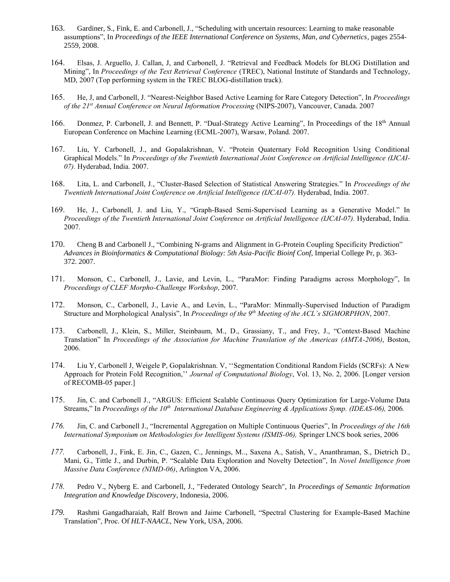- 163. Gardiner, S., Fink, E. and Carbonell, J., "Scheduling with uncertain resources: Learning to make reasonable assumptions", In *Proceedings of the IEEE International Conference on Systems, Man, and Cybernetics*, pages 2554- 2559, 2008.
- 164. Elsas, J. Arguello, J. Callan, J, and Carbonell, J. "Retrieval and Feedback Models for BLOG Distillation and Mining", In *Proceedings of the Text Retrieval Conference* (TREC), National Institute of Standards and Technology, MD, 2007 (Top performing system in the TREC BLOG-distillation track).
- 165. He, J, and Carbonell, J. "Nearest-Neighbor Based Active Learning for Rare Category Detection", In *Proceedings of the 21st Annual Conference on Neural Information Processing* (NIPS-2007), Vancouver, Canada. 2007
- 166. Donmez, P. Carbonell, J. and Bennett, P. "Dual-Strategy Active Learning", In Proceedings of the 18<sup>th</sup> Annual European Conference on Machine Learning (ECML-2007), Warsaw, Poland. 2007.
- 167. Liu, Y. Carbonell, J., and Gopalakrishnan, V. "Protein Quaternary Fold Recognition Using Conditional Graphical Models." In *Proceedings of the Twentieth International Joint Conference on Artificial Intelligence (IJCAI-07).* Hyderabad, India. 2007.
- 168. Lita, L. and Carbonell, J., "Cluster-Based Selection of Statistical Answering Strategies." In *Proceedings of the Twentieth International Joint Conference on Artificial Intelligence (IJCAI-07).* Hyderabad, India. 2007.
- 169. He, J., Carbonell, J. and Liu, Y., "Graph-Based Semi-Supervised Learning as a Generative Model." In *Proceedings of the Twentieth International Joint Conference on Artificial Intelligence (IJCAI-07).* Hyderabad, India. 2007.
- 170. Cheng B and Carbonell J., "Combining N-grams and Alignment in G-Protein Coupling Specificity Prediction" *Advances in Bioinformatics & Computational Biology: 5th Asia-Pacific Bioinf Conf*, Imperial College Pr, p. 363- 372. 2007.
- 171. Monson, C., Carbonell, J., Lavie, and Levin, L., "ParaMor: Finding Paradigms across Morphology", In *Proceedings of CLEF Morpho-Challenge Workshop*, 2007.
- 172. Monson, C., Carbonell, J., Lavie A., and Levin, L., "ParaMor: Minmally-Supervised Induction of Paradigm Structure and Morphological Analysis", In *Proceedings of the 9th Meeting of the ACL's SIGMORPHON*, 2007.
- 173. Carbonell, J., Klein, S., Miller, Steinbaum, M., D., Grassiany, T., and Frey, J., "Context-Based Machine Translation" In *Proceedings of the Association for Machine Translation of the Americas (AMTA-2006)*, Boston, 2006.
- 174. Liu Y, Carbonell J, Weigele P, Gopalakrishnan. V, ''Segmentation Conditional Random Fields (SCRFs): A New Approach for Protein Fold Recognition,'' *Journal of Computational Biology*, Vol. 13, No. 2, 2006. [Longer version of RECOMB-05 paper.]
- 175. Jin, C. and Carbonell J., "ARGUS: Efficient Scalable Continuous Query Optimization for Large-Volume Data Streams," In *Proceedings of the 10th International Database Engineering & Applications Symp. (IDEAS-06),* 2006*.*
- *176.* Jin, C. and Carbonell J., "Incremental Aggregation on Multiple Continuous Queries", In *Proceedings of the 16th International Symposium on Methodologies for Intelligent Systems (ISMIS-06),* Springer LNCS book series, 2006
- *177.* Carbonell, J., Fink, E. Jin, C., Gazen, C., Jennings, M.., Saxena A., Satish, V., Ananthraman, S., Dietrich D., Mani, G., Tittle J., and Durbin, P. "Scalable Data Exploration and Novelty Detection", In *Novel Intelligence from Massive Data Conference (NIMD-06)*, Arlington VA, 2006.
- *178.* Pedro V., Nyberg E. and Carbonell, J., "Federated Ontology Search", In *Proceedings of Semantic Information Integration and Knowledge Discovery*, Indonesia, 2006.
- *179.* Rashmi Gangadharaiah, Ralf Brown and Jaime Carbonell, "Spectral Clustering for Example-Based Machine Translation", Proc. Of *HLT-NAACL,* New York, USA, 2006.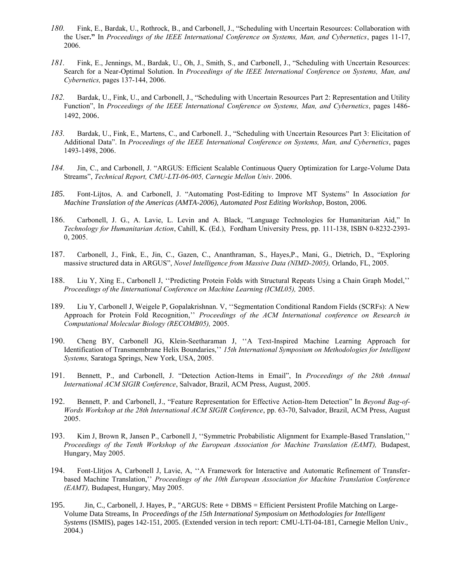- *180.* Fink, E., Bardak, U., Rothrock, B., and Carbonell, J., "Scheduling with Uncertain Resources: Collaboration with the User**."** In *Proceedings of the IEEE International Conference on Systems, Man, and Cybernetics*, pages 11-17, 2006.
- *181.* Fink, E., Jennings, M., Bardak, U., Oh, J., Smith, S., and Carbonell, J., "Scheduling with Uncertain Resources: Search for a Near-Optimal Solution. In *Proceedings of the IEEE International Conference on Systems, Man, and Cybernetics,* pages 137-144, 2006.
- *182.* Bardak, U., Fink, U., and Carbonell, J., "Scheduling with Uncertain Resources Part 2: Representation and Utility Function", In *Proceedings of the IEEE International Conference on Systems, Man, and Cybernetics*, pages 1486- 1492, 2006.
- *183.* Bardak, U., Fink, E., Martens, C., and Carbonell. J., "Scheduling with Uncertain Resources Part 3: Elicitation of Additional Data". In *Proceedings of the IEEE International Conference on Systems, Man, and Cybernetics*, pages 1493-1498, 2006.
- *184.* Jin, C., and Carbonell, J. "ARGUS: Efficient Scalable Continuous Query Optimization for Large-Volume Data Streams", *Technical Report, CMU-LTI-06-005, Carnegie Mellon Univ*. 2006.
- *185.* Font-Lijtos, A. and Carbonell, J. "Automating Post-Editing to Improve MT Systems" In *Association for Machine Translation of the Americas (AMTA-2006), Automated Post Editing Workshop*, Boston, 2006.
- 186. Carbonell, J. G., A. Lavie, L. Levin and A. Black, "Language Technologies for Humanitarian Aid," In *Technology for Humanitarian Action*, Cahill, K. (Ed.), Fordham University Press, pp. 111-138, ISBN 0-8232-2393- 0, 2005.
- 187. Carbonell, J., Fink, E., Jin, C., Gazen, C., Ananthraman, S., Hayes,P., Mani, G., Dietrich, D., "Exploring massive structured data in ARGUS", *Novel Intelligence from Massive Data (NIMD-2005),* Orlando, FL, 2005.
- 188. Liu Y, Xing E., Carbonell J, ''Predicting Protein Folds with Structural Repeats Using a Chain Graph Model,'' *Proceedings of the Iinternational Conference on Machine Learning (ICML05),* 2005.
- 189. Liu Y, Carbonell J, Weigele P, Gopalakrishnan. V, ''Segmentation Conditional Random Fields (SCRFs): A New Approach for Protein Fold Recognition,'' *Proceedings of the ACM International conference on Research in Computational Molecular Biology (RECOMB05),* 2005.
- 190. Cheng BY, Carbonell JG, Klein-Seetharaman J, ''A Text-Inspired Machine Learning Approach for Identification of Transmembrane Helix Boundaries,'' *15th International Symposium on Methodologies for Intelligent Systems,* Saratoga Springs, New York, USA, 2005.
- 191. Bennett, P., and Carbonell, J. "Detection Action-Items in Email", In *Proceedings of the 28th Annual International ACM SIGIR Conference*, Salvador, Brazil, ACM Press, August, 2005.
- 192. Bennett, P. and Carbonell, J., "Feature Representation for Effective Action-Item Detection" In *Beyond Bag-of-Words Workshop at the 28th International ACM SIGIR Conference*, pp. 63-70, Salvador, Brazil, ACM Press, August 2005.
- 193. Kim J, Brown R, Jansen P., Carbonell J, ''Symmetric Probabilistic Alignment for Example-Based Translation,'' Proceedings of the Tenth Workshop of the European Association for Machine Translation (EAMT), Budapest, Hungary, May 2005.
- 194. Font-Llitjos A, Carbonell J, Lavie, A, ''A Framework for Interactive and Automatic Refinement of Transferbased Machine Translation,'' *Proceedings of the 10th European Association for Machine Translation Conference (EAMT),* Budapest, Hungary, May 2005.
- 195. Jin, C., Carbonell, J. Hayes, P., "ARGUS: Rete + DBMS = Efficient Persistent Profile Matching on Large-Volume Data Streams, In *Proceedings of the 15th International Symposium on Methodologies for Intelligent Systems* (ISMIS), pages 142-151, 2005. (Extended version in tech report: CMU-LTI-04-181, Carnegie Mellon Univ., 2004.)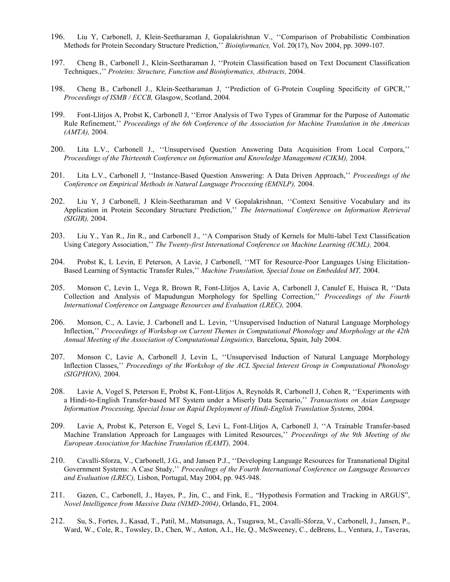- 196. Liu Y, Carbonell, J, Klein-Seetharaman J, Gopalakrishnan V., ''Comparison of Probabilistic Combination Methods for Protein Secondary Structure Prediction,'' *Bioinformatics,* Vol. 20(17), Nov 2004, pp. 3099-107.
- 197. Cheng B., Carbonell J., Klein-Seetharaman J, ''Protein Classification based on Text Document Classification Techniques.,'' *Proteins: Structure, Function and Bioinformatics, Abstracts,* 2004.
- 198. Cheng B., Carbonell J., Klein-Seetharaman J, ''Prediction of G-Protein Coupling Specificity of GPCR,'' *Proceedings of ISMB / ECCB,* Glasgow, Scotland, 2004.
- 199. Font-Llitjos A, Probst K, Carbonell J, ''Error Analysis of Two Types of Grammar for the Purpose of Automatic Rule Refinement,'' *Proceedings of the 6th Conference of the Association for Machine Translation in the Americas (AMTA),* 2004.
- 200. Lita L.V., Carbonell J., ''Unsupervised Question Answering Data Acquisition From Local Corpora,'' *Proceedings of the Thirteenth Conference on Information and Knowledge Management (CIKM),* 2004.
- 201. Lita L.V., Carbonell J, ''Instance-Based Question Answering: A Data Driven Approach,'' *Proceedings of the Conference on Empirical Methods in Natural Language Processing (EMNLP),* 2004.
- 202. Liu Y, J Carbonell, J Klein-Seetharaman and V Gopalakrishnan, ''Context Sensitive Vocabulary and its Application in Protein Secondary Structure Prediction,'' *The International Conference on Information Retrieval (SIGIR),* 2004.
- 203. Liu Y., Yan R., Jin R., and Carbonell J., ''A Comparison Study of Kernels for Multi-label Text Classification Using Category Association,'' *The Twenty-first International Conference on Machine Learning (ICML),* 2004.
- 204. Probst K, L Levin, E Peterson, A Lavie, J Carbonell, ''MT for Resource-Poor Languages Using Elicitation-Based Learning of Syntactic Transfer Rules,'' *Machine Translation, Special Issue on Embedded MT,* 2004.
- 205. Monson C, Levin L, Vega R, Brown R, Font-Llitjos A, Lavie A, Carbonell J, Canulef E, Huisca R, ''Data Collection and Analysis of Mapudungun Morphology for Spelling Correction,'' *Proceedings of the Fourth International Conference on Language Resources and Evaluation (LREC),* 2004.
- 206. Monson, C., A. Lavie, J. Carbonell and L. Levin, ''Unsupervised Induction of Natural Language Morphology Inflection,'' *Proceedings of Workshop on Current Themes in Computational Phonology and Morphology at the 42th Annual Meeting of the Association of Computational Linguistics,* Barcelona, Spain, July 2004.
- 207. Monson C, Lavie A, Carbonell J, Levin L, ''Unsupervised Induction of Natural Language Morphology Inflection Classes,'' *Proceedings of the Workshop of the ACL Special Interest Group in Computational Phonology (SIGPHON),* 2004.
- 208. Lavie A, Vogel S, Peterson E, Probst K, Font-Llitjos A, Reynolds R, Carbonell J, Cohen R, ''Experiments with a Hindi-to-English Transfer-based MT System under a Miserly Data Scenario,'' *Transactions on Asian Language Information Processing, Special Issue on Rapid Deployment of Hindi-English Translation Systems,* 2004.
- 209. Lavie A, Probst K, Peterson E, Vogel S, Levi L, Font-Llitjos A, Carbonell J, ''A Trainable Transfer-based Machine Translation Approach for Languages with Limited Resources,'' *Proceedings of the 9th Meeting of the European Association for Machine Translation (EAMT),* 2004.
- 210. Cavalli-Sforza, V., Carbonell, J.G., and Jansen P.J., ''Developing Language Resources for Transnational Digital Government Systems: A Case Study,'' *Proceedings of the Fourth International Conference on Language Resources and Evaluation (LREC),* Lisbon, Portugal, May 2004, pp. 945-948.
- 211. Gazen, C., Carbonell, J., Hayes, P., Jin, C., and Fink, E., "Hypothesis Formation and Tracking in ARGUS", *Novel Intelligence from Massive Data (NIMD-2004)*, Orlando, FL, 2004.
- 212. Su, S., Fortes, J., Kasad, T., Patil, M., Matsunaga, A., Tsugawa, M., Cavalli-Sforza, V., Carbonell, J., Jansen, P., Ward, W., Cole, R., Towsley, D., Chen, W., Anton, A.I., He, Q., McSweeney, C., deBrens, L., Ventura, J., Taveras,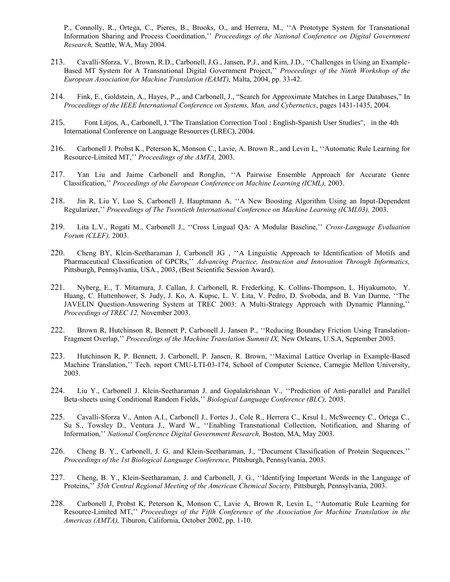P., Connolly, R., Ortega, C., Pieres, B., Brooks, O., and Herrera, M., ''A Prototype System for Transnational Information Sharing and Process Coordination,'' *Proceedings of the National Conference on Digital Government Research,* Seattle, WA, May 2004.

- 213. Cavalli-Sforza, V., Brown, R.D., Carbonell, J.G., Jansen, P.J., and Kim, J.D., ''Challenges in Using an Example-Based MT System for A Transnational Digital Government Project,'' *Proceedings of the Ninth Workshop of the European Association for Machine Translation (EAMT),* Malta, 2004, pp. 33-42.
- 214. Fink, E., Goldstein, A., Hayes, P.,, and Carbonell, J., "Search for Approximate Matches in Large Databases," In *Proceedings of the IEEE International Conference on Systems, Man, and Cybernetics*, pages 1431-1435, 2004.
- 215. Font Litjos, A., Carbonell, J."The Translation Correction Tool : English-Spanish User Studies", in the 4th International Conference on Language Resources (LREC), 2004.
- 216. Carbonell J. Probst K., Peterson K, Monson C., Lavie, A. Brown R., and Levin L, ''Automatic Rule Learning for Resource-Limited MT,'' *Proceedings of the AMTA,* 2003.
- 217. Yan Liu and Jaime Carbonell and RongJin, ''A Pairwise Ensemble Approach for Accurate Genre Classification,'' *Proceedings of the European Conference on Machine Learning (ICML),* 2003.
- 218. Jin R, Liu Y, Luo S, Carbonell J, Hauptmann A, ''A New Boosting Algorithm Using an Input-Dependent Regularizer,'' *Proceedings of The Twentieth International Conference on Machine Learning (ICML03),* 2003.
- 219. Lita L.V., Rogati M., Carbonell J., ''Cross Lingual QA: A Modular Baseline,'' *Cross-Language Evaluation Forum (CLEF),* 2003.
- 220. Cheng BY, Klein-Seetharaman J, Carbonell JG , ''A Linguistic Approach to Identification of Motifs and Pharmaceutical Classification of GPCRs,'' *Advancing Practice, Instruction and Innovation Through Informatics,*  Pittsburgh, Pennsylvania, USA., 2003, (Best Scientific Session Award).
- 221. Nyberg, E., T. Mitamura, J. Callan, J. Carbonell, R. Frederking, K. Collins-Thompson, L. Hiyakumoto, Y. Huang, C. Huttenhower, S. Judy, J. Ko, A. Kupsc, L. V. Lita, V. Pedro, D. Svoboda, and B. Van Durme, ''The JAVELIN Question-Answering System at TREC 2003: A Multi-Strategy Approach with Dynamic Planning,'' *Proceedings of TREC 12,* November 2003.
- 222. Brown R, Hutchinson R, Bennett P, Carbonell J, Jansen P., ''Reducing Boundary Friction Using Translation-Fragment Overlap," *Proceedings of the Machine Translation Summit IX*, New Orleans, U.S.A, September 2003.
- 223. Hutchinson R, P. Bennett, J. Carbonell, P. Jansen, R. Brown, ''Maximal Lattice Overlap in Example-Based Machine Translation,'' Tech. report CMU-LTI-03-174, School of Computer Science, Carnegie Mellon University, 2003.
- 224. Liu Y., Carbonell J. Klein-Seetharaman J. and Gopalakrishnan V., ''Prediction of Anti-parallel and Parallel Beta-sheets using Conditional Random Fields,'' *Biological Language Conference (BLC),* 2003.
- 225. Cavalli-Sforza V., Anton A.I., Carbonell J., Fortes J., Cole R., Herrera C., Krsul I., McSweeney C., Ortega C., Su S., Towsley D., Ventura J., Ward W., "Enabling Transnational Collection, Notification, and Sharing of Information,'' *National Conference Digital Government Research,* Boston, MA, May 2003.
- 226. Cheng B. Y., Carbonell, J. G. and Klein-Seetharaman, J., "Document Classification of Protein Sequences,'' *Proceedings of the 1st Biological Language Conference,* Pittsburgh, Pennsylvania, 2003.
- 227. Cheng, B. Y., Klein-Seetharaman, J. and Carbonell, J. G., ''Identifying Important Words in the Language of Proteins,'' *35th Central Regional Meeting of the American Chemical Society,* Pittsburgh, Pennsylvania, 2003.
- 228. Carbonell J, Probst K, Peterson K, Monson C, Lavie A, Brown R, Levin L, ''Automatic Rule Learning for Resource-Limited MT,'' *Proceedings of the Fifth Conference of the Association for Machine Translation in the Americas (AMTA),* Tiburon, California, October 2002, pp. 1-10.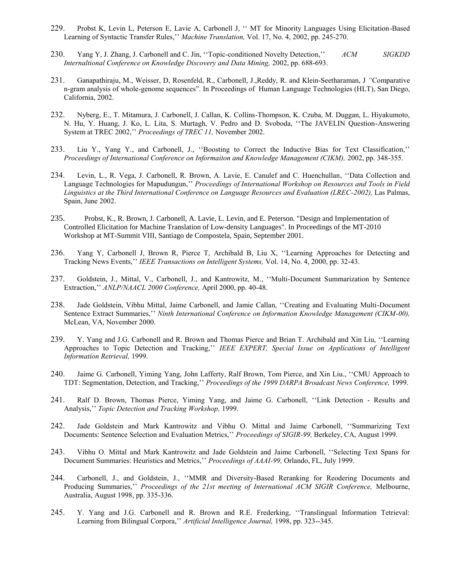- 229. Probst K, Levin L, Peterson E, Lavie A, Carbonell J, '' MT for Minority Languages Using Elicitation-Based Learning of Syntactic Transfer Rules,'' *Machine Translation,* Vol. 17, No. 4, 2002, pp. 245-270.
- 230. Yang Y, J. Zhang, J. Carbonell and C. Jin, ''Topic-conditioned Novelty Detection,'' *ACM SIGKDD Internaltional Conference on Knowledge Discovery and Data Mining,* 2002, pp. 688-693.
- 231. Ganapathiraju, M., Weisser, D, Rosenfeld, R., Carbonell, J.,Reddy, R. and Klein-Seetharaman, J *"*Comparative n-gram analysis of whole-genome sequences"*.* In Proceedings of Human Language Technologies (HLT), San Diego, California, 2002.
- 232. Nyberg, E., T. Mitamura, J. Carbonell, J. Callan, K. Collins-Thompson, K. Czuba, M. Duggan, L. Hiyakumoto, N. Hu, Y. Huang, J. Ko, L. Lita, S. Murtagh, V. Pedro and D. Svoboda, ''The JAVELIN Question-Answering System at TREC 2002,'' *Proceedings of TREC 11,* November 2002.
- 233. Liu Y., Yang Y., and Carbonell, J., ''Boosting to Correct the Inductive Bias for Text Classification,'' *Proceedings of International Conference on Informaiton and Knowledge Management (CIKM),* 2002, pp. 348-355.
- 234. Levin, L., R. Vega, J. Carbonell, R. Brown, A. Lavie, E. Canulef and C. Huenchullan, ''Data Collection and Language Technologies for Mapudungun,'' *Proceedings of International Workshop on Resources and Tools in Field*  Linguistics at the Third International Conference on Language Resources and Evaluation (LREC-2002), Las Palmas, Spain, June 2002.
- 235. Probst, K., R. Brown, J. Carbonell, A. Lavie, L. Levin, and E. Peterson. "Design and Implementation of Controlled Elicitation for Machine Translation of Low-density Languages". In Proceedings of the MT-2010 Workshop at MT-Summit VIII, Santiago de Compostela, Spain, September 2001.
- 236. Yang Y, Carbonell J, Brown R, Pierce T, Archibald B, Liu X, ''Learning Approaches for Detecting and Tracking News Events,'' *IEEE Transactions on Intelligent Systems,* Vol. 14, No. 4, 2000, pp. 32-43.
- 237. Goldstein, J., Mittal, V., Carbonell, J., and Kantrowitz, M., ''Multi-Document Summarization by Sentence Extraction,'' *ANLP/NAACL 2000 Conference,* April 2000, pp. 40-48.
- 238. Jade Goldstein, Vibhu Mittal, Jaime Carbonell, and Jamie Callan, ''Creating and Evaluating Multi-Document Sentence Extract Summaries,'' *Ninth International Conference on Information Knowledge Management (CIKM-00),*  McLean, VA, November 2000.
- 239. Y. Yang and J.G. Carbonell and R. Brown and Thomas Pierce and Brian T. Archibald and Xin Liu, ''Learning Approaches to Topic Detection and Tracking,'' *IEEE EXPERT, Special Issue on Applications of Intelligent Information Retrieval,* 1999.
- 240. Jaime G. Carbonell, Yiming Yang, John Lafferty, Ralf Brown, Tom Pierce, and Xin Liu., ''CMU Approach to TDT: Segmentation, Detection, and Tracking,'' *Proceedings of the 1999 DARPA Broadcast News Conference,* 1999.
- 241. Ralf D. Brown, Thomas Pierce, Yiming Yang, and Jaime G. Carbonell, ''Link Detection Results and Analysis,'' *Topic Detection and Tracking Workshop,* 1999.
- 242. Jade Goldstein and Mark Kantrowitz and Vibhu O. Mittal and Jaime Carbonell, ''Summarizing Text Documents: Sentence Selection and Evaluation Metrics,'' *Proceedings of SIGIR-99,* Berkeley, CA, August 1999.
- 243. Vibhu O. Mittal and Mark Kantrowitz and Jade Goldstein and Jaime Carbonell, ''Selecting Text Spans for Document Summaries: Heuristics and Metrics,'' *Proceedings of AAAI-99,* Orlando, FL, July 1999.
- 244. Carbonell, J., and Goldstein, J., ''MMR and Diversity-Based Reranking for Reodering Documents and Producing Summaries,'' *Proceedings of the 21st meeting of International ACM SIGIR Conference,* Melbourne, Australia, August 1998, pp. 335-336.
- 245. Y. Yang and J.G. Carbonell and R. Brown and R.E. Frederking, ''Translingual Information Tetrieval: Learning from Bilingual Corpora,'' *Artificial Intelligence Journal,* 1998, pp. 323--345.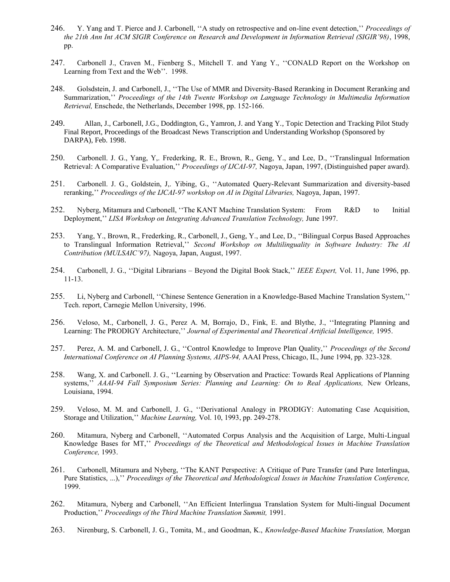- 246. Y. Yang and T. Pierce and J. Carbonell, ''A study on retrospective and on-line event detection,'' *Proceedings of the 21th Ann Int ACM SIGIR Conference on Research and Development in Information Retrieval (SIGIR'98)*, 1998, pp.
- 247. Carbonell J., Craven M., Fienberg S., Mitchell T. and Yang Y., ''CONALD Report on the Workshop on Learning from Text and the Web''. 1998.
- 248. Golsdstein, J. and Carbonell, J., ''The Use of MMR and Diversity-Based Reranking in Document Reranking and Summarization,'' *Proceedings of the 14th Twente Workshop on Language Technology in Multimedia Information Retrieval,* Enschede, the Netherlands, December 1998, pp. 152-166.
- 249. Allan, J., Carbonell, J.G., Doddington, G., Yamron, J. and Yang Y., Topic Detection and Tracking Pilot Study Final Report, Proceedings of the Broadcast News Transcription and Understanding Workshop (Sponsored by DARPA), Feb. 1998.
- 250. Carbonell. J. G., Yang, Y,. Frederking, R. E., Brown, R., Geng, Y., and Lee, D., ''Translingual Information Retrieval: A Comparative Evaluation,'' *Proceedings of IJCAI-97,* Nagoya, Japan, 1997, (Distinguished paper award).
- 251. Carbonell. J. G., Goldstein, J,. Yibing, G., ''Automated Query-Relevant Summarization and diversity-based reranking,'' *Proceedings of the IJCAI-97 workshop on AI in Digital Libraries,* Nagoya, Japan, 1997.
- 252. Nyberg, Mitamura and Carbonell, ''The KANT Machine Translation System: From R&D to Initial Deployment,'' *LISA Workshop on Integrating Advanced Translation Technology,* June 1997.
- 253. Yang, Y., Brown, R., Frederking, R., Carbonell, J., Geng, Y., and Lee, D., ''Bilingual Corpus Based Approaches to Translingual Information Retrieval,'' *Second Workshop on Multilinguality in Software Industry: The AI Contribution (MULSAIC'97),* Nagoya, Japan, August, 1997.
- 254. Carbonell, J. G., ''Digital Librarians Beyond the Digital Book Stack,'' *IEEE Expert,* Vol. 11, June 1996, pp. 11-13.
- 255. Li, Nyberg and Carbonell, ''Chinese Sentence Generation in a Knowledge-Based Machine Translation System,'' Tech. report, Carnegie Mellon University, 1996.
- 256. Veloso, M., Carbonell, J. G., Perez A. M, Borrajo, D., Fink, E. and Blythe, J., ''Integrating Planning and Learning: The PRODIGY Architecture," *Journal of Experimental and Theoretical Artificial Intelligence*, 1995.
- 257. Perez, A. M. and Carbonell, J. G., ''Control Knowledge to Improve Plan Quality,'' *Proceedings of the Second International Conference on AI Planning Systems, AIPS-94,* AAAI Press, Chicago, IL, June 1994, pp. 323-328.
- 258. Wang, X. and Carbonell. J. G., ''Learning by Observation and Practice: Towards Real Applications of Planning systems," AAAI-94 Fall Symposium Series: Planning and Learning: On to Real Applications, New Orleans, Louisiana, 1994.
- 259. Veloso, M. M. and Carbonell, J. G., ''Derivational Analogy in PRODIGY: Automating Case Acquisition, Storage and Utilization,'' *Machine Learning,* Vol. 10, 1993, pp. 249-278.
- 260. Mitamura, Nyberg and Carbonell, ''Automated Corpus Analysis and the Acquisition of Large, Multi-Lingual Knowledge Bases for MT,'' *Proceedings of the Theoretical and Methodological Issues in Machine Translation Conference,* 1993.
- 261. Carbonell, Mitamura and Nyberg, ''The KANT Perspective: A Critique of Pure Transfer (and Pure Interlingua, Pure Statistics, ...),'' *Proceedings of the Theoretical and Methodological Issues in Machine Translation Conference,*  1999.
- 262. Mitamura, Nyberg and Carbonell, ''An Efficient Interlingua Translation System for Multi-lingual Document Production,'' *Proceedings of the Third Machine Translation Summit,* 1991.
- 263. Nirenburg, S. Carbonell, J. G., Tomita, M., and Goodman, K., *Knowledge-Based Machine Translation,* Morgan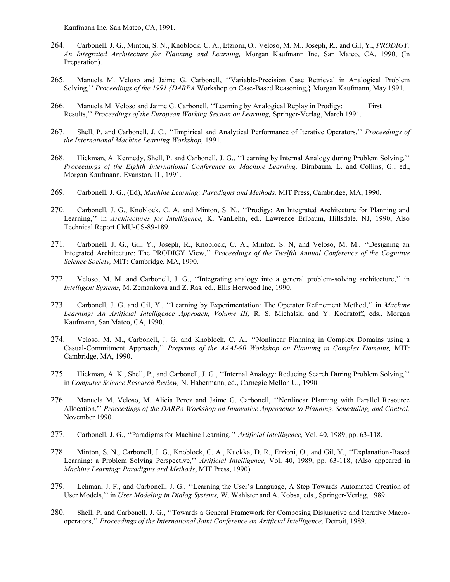Kaufmann Inc, San Mateo, CA, 1991.

- 264. Carbonell, J. G., Minton, S. N., Knoblock, C. A., Etzioni, O., Veloso, M. M., Joseph, R., and Gil, Y., *PRODIGY: An Integrated Architecture for Planning and Learning,* Morgan Kaufmann Inc, San Mateo, CA, 1990, (In Preparation).
- 265. Manuela M. Veloso and Jaime G. Carbonell, ''Variable-Precision Case Retrieval in Analogical Problem Solving,'' *Proceedings of the 1991 {DARPA* Workshop on Case-Based Reasoning,} Morgan Kaufmann, May 1991.
- 266. Manuela M. Veloso and Jaime G. Carbonell, ''Learning by Analogical Replay in Prodigy: First Results,'' *Proceedings of the European Working Session on Learning,* Springer-Verlag, March 1991.
- 267. Shell, P. and Carbonell, J. C., ''Empirical and Analytical Performance of Iterative Operators,'' *Proceedings of the International Machine Learning Workshop,* 1991.
- 268. Hickman, A. Kennedy, Shell, P. and Carbonell, J. G., ''Learning by Internal Analogy during Problem Solving,'' *Proceedings of the Eighth International Conference on Machine Learning, Birnbaum, L. and Collins, G., ed.,* Morgan Kaufmann, Evanston, IL, 1991.
- 269. Carbonell, J. G., (Ed), *Machine Learning: Paradigms and Methods,* MIT Press, Cambridge, MA, 1990.
- 270. Carbonell, J. G., Knoblock, C. A. and Minton, S. N., ''Prodigy: An Integrated Architecture for Planning and Learning,'' in *Architectures for Intelligence,* K. VanLehn, ed., Lawrence Erlbaum, Hillsdale, NJ, 1990, Also Technical Report CMU-CS-89-189.
- 271. Carbonell, J. G., Gil, Y., Joseph, R., Knoblock, C. A., Minton, S. N, and Veloso, M. M., ''Designing an Integrated Architecture: The PRODIGY View,'' *Proceedings of the Twelfth Annual Conference of the Cognitive Science Society,* MIT: Cambridge, MA, 1990.
- 272. Veloso, M. M. and Carbonell, J. G., ''Integrating analogy into a general problem-solving architecture,'' in *Intelligent Systems,* M. Zemankova and Z. Ras, ed., Ellis Horwood Inc, 1990.
- 273. Carbonell, J. G. and Gil, Y., ''Learning by Experimentation: The Operator Refinement Method,'' in *Machine Learning: An Artificial Intelligence Approach, Volume III,* R. S. Michalski and Y. Kodratoff, eds., Morgan Kaufmann, San Mateo, CA, 1990.
- 274. Veloso, M. M., Carbonell, J. G. and Knoblock, C. A., ''Nonlinear Planning in Complex Domains using a Casual-Commitment Approach,'' *Preprints of the AAAI-90 Workshop on Planning in Complex Domains,* MIT: Cambridge, MA, 1990.
- 275. Hickman, A. K., Shell, P., and Carbonell, J. G., ''Internal Analogy: Reducing Search During Problem Solving,'' in *Computer Science Research Review,* N. Habermann, ed., Carnegie Mellon U., 1990.
- 276. Manuela M. Veloso, M. Alicia Perez and Jaime G. Carbonell, ''Nonlinear Planning with Parallel Resource Allocation,'' *Proceedings of the DARPA Workshop on Innovative Approaches to Planning, Scheduling, and Control,*  November 1990.
- 277. Carbonell, J. G., ''Paradigms for Machine Learning,'' *Artificial Intelligence,* Vol. 40, 1989, pp. 63-118.
- 278. Minton, S. N., Carbonell, J. G., Knoblock, C. A., Kuokka, D. R., Etzioni, O., and Gil, Y., ''Explanation-Based Learning: a Problem Solving Perspective,'' *Artificial Intelligence,* Vol. 40, 1989, pp. 63-118, (Also appeared in *Machine Learning: Paradigms and Methods*, MIT Press, 1990).
- 279. Lehman, J. F., and Carbonell, J. G., ''Learning the User's Language, A Step Towards Automated Creation of User Models,'' in *User Modeling in Dialog Systems,* W. Wahlster and A. Kobsa, eds., Springer-Verlag, 1989.
- 280. Shell, P. and Carbonell, J. G., ''Towards a General Framework for Composing Disjunctive and Iterative Macrooperators,'' *Proceedings of the International Joint Conference on Artificial Intelligence,* Detroit, 1989.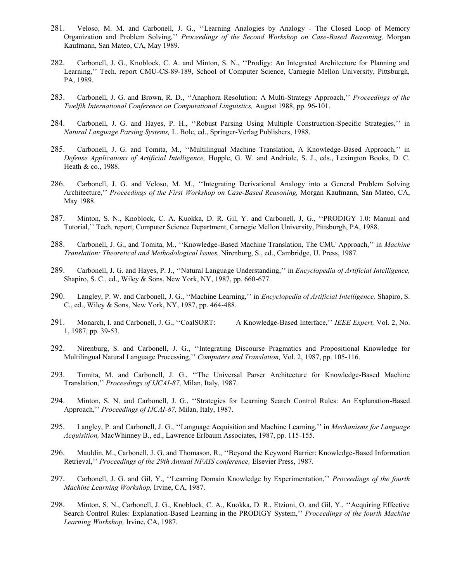- 281. Veloso, M. M. and Carbonell, J. G., ''Learning Analogies by Analogy The Closed Loop of Memory Organization and Problem Solving,'' *Proceedings of the Second Workshop on Case-Based Reasoning,* Morgan Kaufmann, San Mateo, CA, May 1989.
- 282. Carbonell, J. G., Knoblock, C. A. and Minton, S. N., ''Prodigy: An Integrated Architecture for Planning and Learning,'' Tech. report CMU-CS-89-189, School of Computer Science, Carnegie Mellon University, Pittsburgh, PA, 1989.
- 283. Carbonell, J. G. and Brown, R. D., ''Anaphora Resolution: A Multi-Strategy Approach,'' *Proceedings of the Twelfth International Conference on Computational Linguistics,* August 1988, pp. 96-101.
- 284. Carbonell, J. G. and Hayes, P. H., ''Robust Parsing Using Multiple Construction-Specific Strategies,'' in *Natural Language Parsing Systems,* L. Bolc, ed., Springer-Verlag Publishers, 1988.
- 285. Carbonell, J. G. and Tomita, M., ''Multilingual Machine Translation, A Knowledge-Based Approach,'' in *Defense Applications of Artificial Intelligence,* Hopple, G. W. and Andriole, S. J., eds., Lexington Books, D. C. Heath & co., 1988.
- 286. Carbonell, J. G. and Veloso, M. M., ''Integrating Derivational Analogy into a General Problem Solving Architecture,'' *Proceedings of the First Workshop on Case-Based Reasoning,* Morgan Kaufmann, San Mateo, CA, May 1988.
- 287. Minton, S. N., Knoblock, C. A. Kuokka, D. R. Gil, Y. and Carbonell, J, G., ''PRODIGY 1.0: Manual and Tutorial,'' Tech. report, Computer Science Department, Carnegie Mellon University, Pittsburgh, PA, 1988.
- 288. Carbonell, J. G., and Tomita, M., ''Knowledge-Based Machine Translation, The CMU Approach,'' in *Machine Translation: Theoretical and Methodological Issues,* Nirenburg, S., ed., Cambridge, U. Press, 1987.
- 289. Carbonell, J. G. and Hayes, P. J., ''Natural Language Understanding,'' in *Encyclopedia of Artificial Intelligence,*  Shapiro, S. C., ed., Wiley & Sons, New York, NY, 1987, pp. 660-677.
- 290. Langley, P. W. and Carbonell, J. G., ''Machine Learning,'' in *Encyclopedia of Artificial Intelligence,* Shapiro, S. C., ed., Wiley & Sons, New York, NY, 1987, pp. 464-488.
- 291. Monarch, I. and Carbonell, J. G., ''CoalSORT: A Knowledge-Based Interface,'' *IEEE Expert,* Vol. 2, No. 1, 1987, pp. 39-53.
- 292. Nirenburg, S. and Carbonell, J. G., ''Integrating Discourse Pragmatics and Propositional Knowledge for Multilingual Natural Language Processing,'' *Computers and Translation,* Vol. 2, 1987, pp. 105-116.
- 293. Tomita, M. and Carbonell, J. G., ''The Universal Parser Architecture for Knowledge-Based Machine Translation,'' *Proceedings of IJCAI-87,* Milan, Italy, 1987.
- 294. Minton, S. N. and Carbonell, J. G., ''Strategies for Learning Search Control Rules: An Explanation-Based Approach,'' *Proceedings of IJCAI-87,* Milan, Italy, 1987.
- 295. Langley, P. and Carbonell, J. G., ''Language Acquisition and Machine Learning,'' in *Mechanisms for Language Acquisition,* MacWhinney B., ed., Lawrence Erlbaum Associates, 1987, pp. 115-155.
- 296. Mauldin, M., Carbonell, J. G. and Thomason, R., ''Beyond the Keyword Barrier: Knowledge-Based Information Retrieval,'' *Proceedings of the 29th Annual NFAIS conference,* Elsevier Press, 1987.
- 297. Carbonell, J. G. and Gil, Y., ''Learning Domain Knowledge by Experimentation,'' *Proceedings of the fourth Machine Learning Workshop,* Irvine, CA, 1987.
- 298. Minton, S. N., Carbonell, J. G., Knoblock, C. A., Kuokka, D. R., Etzioni, O. and Gil, Y., ''Acquiring Effective Search Control Rules: Explanation-Based Learning in the PRODIGY System,'' *Proceedings of the fourth Machine Learning Workshop,* Irvine, CA, 1987.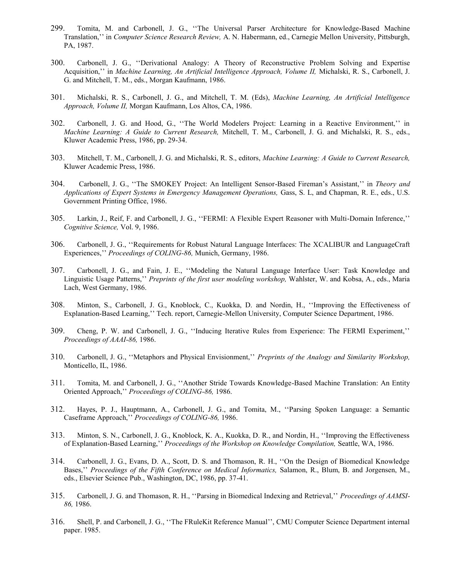- 299. Tomita, M. and Carbonell, J. G., ''The Universal Parser Architecture for Knowledge-Based Machine Translation,'' in *Computer Science Research Review,* A. N. Habermann, ed., Carnegie Mellon University, Pittsburgh, PA, 1987.
- 300. Carbonell, J. G., ''Derivational Analogy: A Theory of Reconstructive Problem Solving and Expertise Acquisition,'' in *Machine Learning, An Artificial Intelligence Approach, Volume II,* Michalski, R. S., Carbonell, J. G. and Mitchell, T. M., eds., Morgan Kaufmann, 1986.
- 301. Michalski, R. S., Carbonell, J. G., and Mitchell, T. M. (Eds), *Machine Learning, An Artificial Intelligence Approach, Volume II,* Morgan Kaufmann, Los Altos, CA, 1986.
- 302. Carbonell, J. G. and Hood, G., ''The World Modelers Project: Learning in a Reactive Environment,'' in *Machine Learning: A Guide to Current Research,* Mitchell, T. M., Carbonell, J. G. and Michalski, R. S., eds., Kluwer Academic Press, 1986, pp. 29-34.
- 303. Mitchell, T. M., Carbonell, J. G. and Michalski, R. S., editors, *Machine Learning: A Guide to Current Research,*  Kluwer Academic Press, 1986.
- 304. Carbonell, J. G., ''The SMOKEY Project: An Intelligent Sensor-Based Fireman's Assistant,'' in *Theory and Applications of Expert Systems in Emergency Management Operations,* Gass, S. L, and Chapman, R. E., eds., U.S. Government Printing Office, 1986.
- 305. Larkin, J., Reif, F. and Carbonell, J. G., ''FERMI: A Flexible Expert Reasoner with Multi-Domain Inference,'' *Cognitive Science,* Vol. 9, 1986.
- 306. Carbonell, J. G., ''Requirements for Robust Natural Language Interfaces: The XCALIBUR and LanguageCraft Experiences,'' *Proceedings of COLING-86,* Munich, Germany, 1986.
- 307. Carbonell, J. G., and Fain, J. E., ''Modeling the Natural Language Interface User: Task Knowledge and Linguistic Usage Patterns,'' *Preprints of the first user modeling workshop,* Wahlster, W. and Kobsa, A., eds., Maria Lach, West Germany, 1986.
- 308. Minton, S., Carbonell, J. G., Knoblock, C., Kuokka, D. and Nordin, H., ''Improving the Effectiveness of Explanation-Based Learning,'' Tech. report, Carnegie-Mellon University, Computer Science Department, 1986.
- 309. Cheng, P. W. and Carbonell, J. G., ''Inducing Iterative Rules from Experience: The FERMI Experiment,'' *Proceedings of AAAI-86,* 1986.
- 310. Carbonell, J. G., ''Metaphors and Physical Envisionment,'' *Preprints of the Analogy and Similarity Workshop,*  Monticello, IL, 1986.
- 311. Tomita, M. and Carbonell, J. G., ''Another Stride Towards Knowledge-Based Machine Translation: An Entity Oriented Approach,'' *Proceedings of COLING-86,* 1986.
- 312. Hayes, P. J., Hauptmann, A., Carbonell, J. G., and Tomita, M., ''Parsing Spoken Language: a Semantic Caseframe Approach,'' *Proceedings of COLING-86,* 1986.
- 313. Minton, S. N., Carbonell, J. G., Knoblock, K. A., Kuokka, D. R., and Nordin, H., ''Improving the Effectiveness of Explanation-Based Learning,'' *Proceedings of the Workshop on Knowledge Compilation,* Seattle, WA, 1986.
- 314. Carbonell, J. G., Evans, D. A., Scott, D. S. and Thomason, R. H., ''On the Design of Biomedical Knowledge Bases,'' *Proceedings of the Fifth Conference on Medical Informatics,* Salamon, R., Blum, B. and Jorgensen, M., eds., Elsevier Science Pub., Washington, DC, 1986, pp. 37-41.
- 315. Carbonell, J. G. and Thomason, R. H., ''Parsing in Biomedical Indexing and Retrieval,'' *Proceedings of AAMSI-86,* 1986.
- 316. Shell, P. and Carbonell, J. G., ''The FRuleKit Reference Manual'', CMU Computer Science Department internal paper. 1985.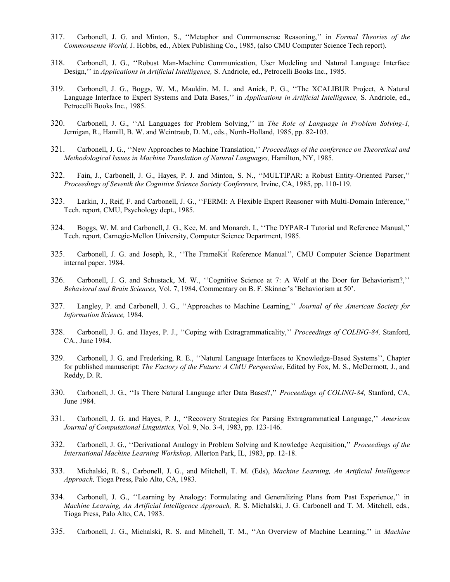- 317. Carbonell, J. G. and Minton, S., ''Metaphor and Commonsense Reasoning,'' in *Formal Theories of the Commonsense World,* J. Hobbs, ed., Ablex Publishing Co., 1985, (also CMU Computer Science Tech report).
- 318. Carbonell, J. G., ''Robust Man-Machine Communication, User Modeling and Natural Language Interface Design,'' in *Applications in Artificial Intelligence,* S. Andriole, ed., Petrocelli Books Inc., 1985.
- 319. Carbonell, J. G., Boggs, W. M., Mauldin. M. L. and Anick, P. G., ''The XCALIBUR Project, A Natural Language Interface to Expert Systems and Data Bases,'' in *Applications in Artificial Intelligence,* S. Andriole, ed., Petrocelli Books Inc., 1985.
- 320. Carbonell, J. G., ''AI Languages for Problem Solving,'' in *The Role of Language in Problem Solving-1,*  Jernigan, R., Hamill, B. W. and Weintraub, D. M., eds., North-Holland, 1985, pp. 82-103.
- 321. Carbonell, J. G., ''New Approaches to Machine Translation,'' *Proceedings of the conference on Theoretical and Methodological Issues in Machine Translation of Natural Languages,* Hamilton, NY, 1985.
- 322. Fain, J., Carbonell, J. G., Hayes, P. J. and Minton, S. N., ''MULTIPAR: a Robust Entity-Oriented Parser,'' *Proceedings of Seventh the Cognitive Science Society Conference,* Irvine, CA, 1985, pp. 110-119.
- 323. Larkin, J., Reif, F. and Carbonell, J. G., ''FERMI: A Flexible Expert Reasoner with Multi-Domain Inference,'' Tech. report, CMU, Psychology dept., 1985.
- 324. Boggs, W. M. and Carbonell, J. G., Kee, M. and Monarch, I., ''The DYPAR-I Tutorial and Reference Manual,'' Tech. report, Carnegie-Mellon University, Computer Science Department, 1985.
- 325. Carbonell, J. G. and Joseph, R., "The FrameKit<sup>"</sup> Reference Manual'', CMU Computer Science Department internal paper. 1984.
- 326. Carbonell, J. G. and Schustack, M. W., ''Cognitive Science at 7: A Wolf at the Door for Behaviorism?,'' *Behavioral and Brain Sciences,* Vol. 7, 1984, Commentary on B. F. Skinner's 'Behaviorism at 50'.
- 327. Langley, P. and Carbonell, J. G., ''Approaches to Machine Learning,'' *Journal of the American Society for Information Science,* 1984.
- 328. Carbonell, J. G. and Hayes, P. J., ''Coping with Extragrammaticality,'' *Proceedings of COLING-84,* Stanford, CA., June 1984.
- 329. Carbonell, J. G. and Frederking, R. E., ''Natural Language Interfaces to Knowledge-Based Systems'', Chapter for published manuscript: *The Factory of the Future: A CMU Perspective*, Edited by Fox, M. S., McDermott, J., and Reddy, D. R.
- 330. Carbonell, J. G., ''Is There Natural Language after Data Bases?,'' *Proceedings of COLING-84,* Stanford, CA, June 1984.
- 331. Carbonell, J. G. and Hayes, P. J., ''Recovery Strategies for Parsing Extragrammatical Language,'' *American Journal of Computational Linguistics,* Vol. 9, No. 3-4, 1983, pp. 123-146.
- 332. Carbonell, J. G., ''Derivational Analogy in Problem Solving and Knowledge Acquisition,'' *Proceedings of the International Machine Learning Workshop,* Allerton Park, IL, 1983, pp. 12-18.
- 333. Michalski, R. S., Carbonell, J. G., and Mitchell, T. M. (Eds), *Machine Learning, An Artificial Intelligence Approach,* Tioga Press, Palo Alto, CA, 1983.
- 334. Carbonell, J. G., ''Learning by Analogy: Formulating and Generalizing Plans from Past Experience,'' in *Machine Learning, An Artificial Intelligence Approach,* R. S. Michalski, J. G. Carbonell and T. M. Mitchell, eds., Tioga Press, Palo Alto, CA, 1983.
- 335. Carbonell, J. G., Michalski, R. S. and Mitchell, T. M., ''An Overview of Machine Learning,'' in *Machine*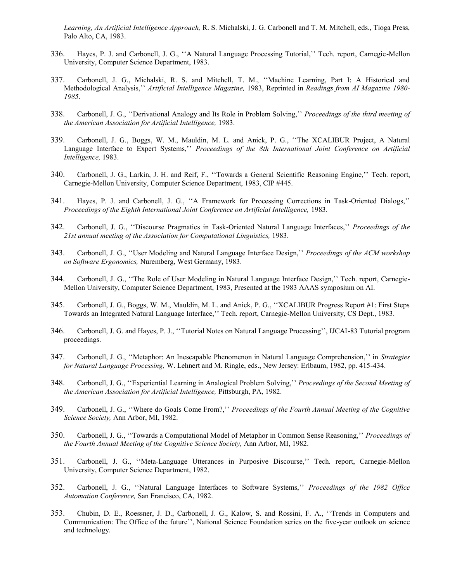*Learning, An Artificial Intelligence Approach,* R. S. Michalski, J. G. Carbonell and T. M. Mitchell, eds., Tioga Press, Palo Alto, CA, 1983.

- 336. Hayes, P. J. and Carbonell, J. G., ''A Natural Language Processing Tutorial,'' Tech. report, Carnegie-Mellon University, Computer Science Department, 1983.
- 337. Carbonell, J. G., Michalski, R. S. and Mitchell, T. M., ''Machine Learning, Part I: A Historical and Methodological Analysis,'' *Artificial Intelligence Magazine,* 1983, Reprinted in *Readings from AI Magazine 1980- 1985*.
- 338. Carbonell, J. G., ''Derivational Analogy and Its Role in Problem Solving,'' *Proceedings of the third meeting of the American Association for Artificial Intelligence,* 1983.
- 339. Carbonell, J. G., Boggs, W. M., Mauldin, M. L. and Anick, P. G., ''The XCALIBUR Project, A Natural Language Interface to Expert Systems,'' *Proceedings of the 8th International Joint Conference on Artificial Intelligence,* 1983.
- 340. Carbonell, J. G., Larkin, J. H. and Reif, F., ''Towards a General Scientific Reasoning Engine,'' Tech. report, Carnegie-Mellon University, Computer Science Department, 1983, CIP #445.
- 341. Hayes, P. J. and Carbonell, J. G., ''A Framework for Processing Corrections in Task-Oriented Dialogs,'' *Proceedings of the Eighth International Joint Conference on Artificial Intelligence,* 1983.
- 342. Carbonell, J. G., ''Discourse Pragmatics in Task-Oriented Natural Language Interfaces,'' *Proceedings of the 21st annual meeting of the Association for Computational Linguistics,* 1983.
- 343. Carbonell, J. G., ''User Modeling and Natural Language Interface Design,'' *Proceedings of the ACM workshop on Software Ergonomics,* Nuremberg, West Germany, 1983.
- 344. Carbonell, J. G., ''The Role of User Modeling in Natural Language Interface Design,'' Tech. report, Carnegie-Mellon University, Computer Science Department, 1983, Presented at the 1983 AAAS symposium on AI.
- 345. Carbonell, J. G., Boggs, W. M., Mauldin, M. L. and Anick, P. G., ''XCALIBUR Progress Report #1: First Steps Towards an Integrated Natural Language Interface,'' Tech. report, Carnegie-Mellon University, CS Dept., 1983.
- 346. Carbonell, J. G. and Hayes, P. J., ''Tutorial Notes on Natural Language Processing'', IJCAI-83 Tutorial program proceedings.
- 347. Carbonell, J. G., ''Metaphor: An Inescapable Phenomenon in Natural Language Comprehension,'' in *Strategies for Natural Language Processing,* W. Lehnert and M. Ringle, eds., New Jersey: Erlbaum, 1982, pp. 415-434.
- 348. Carbonell, J. G., ''Experiential Learning in Analogical Problem Solving,'' *Proceedings of the Second Meeting of the American Association for Artificial Intelligence,* Pittsburgh, PA, 1982.
- 349. Carbonell, J. G., ''Where do Goals Come From?,'' *Proceedings of the Fourth Annual Meeting of the Cognitive Science Society,* Ann Arbor, MI, 1982.
- 350. Carbonell, J. G., ''Towards a Computational Model of Metaphor in Common Sense Reasoning,'' *Proceedings of the Fourth Annual Meeting of the Cognitive Science Society,* Ann Arbor, MI, 1982.
- 351. Carbonell, J. G., ''Meta-Language Utterances in Purposive Discourse,'' Tech. report, Carnegie-Mellon University, Computer Science Department, 1982.
- 352. Carbonell, J. G., ''Natural Language Interfaces to Software Systems,'' *Proceedings of the 1982 Office Automation Conference,* San Francisco, CA, 1982.
- 353. Chubin, D. E., Roessner, J. D., Carbonell, J. G., Kalow, S. and Rossini, F. A., ''Trends in Computers and Communication: The Office of the future'', National Science Foundation series on the five-year outlook on science and technology.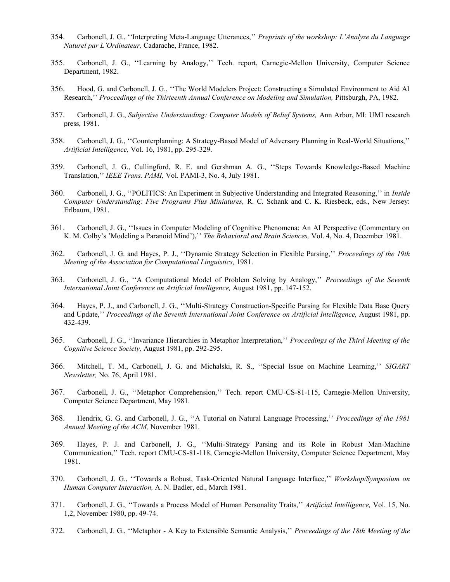- 354. Carbonell, J. G., ''Interpreting Meta-Language Utterances,'' *Preprints of the workshop: L'Analyze du Language Naturel par L'Ordinateur,* Cadarache, France, 1982.
- 355. Carbonell, J. G., ''Learning by Analogy,'' Tech. report, Carnegie-Mellon University, Computer Science Department, 1982.
- 356. Hood, G. and Carbonell, J. G., ''The World Modelers Project: Constructing a Simulated Environment to Aid AI Research," Proceedings of the Thirteenth Annual Conference on Modeling and Simulation, Pittsburgh, PA, 1982.
- 357. Carbonell, J. G., *Subjective Understanding: Computer Models of Belief Systems,* Ann Arbor, MI: UMI research press, 1981.
- 358. Carbonell, J. G., ''Counterplanning: A Strategy-Based Model of Adversary Planning in Real-World Situations,'' *Artificial Intelligence,* Vol. 16, 1981, pp. 295-329.
- 359. Carbonell, J. G., Cullingford, R. E. and Gershman A. G., ''Steps Towards Knowledge-Based Machine Translation,'' *IEEE Trans. PAMI,* Vol. PAMI-3, No. 4, July 1981.
- 360. Carbonell, J. G., ''POLITICS: An Experiment in Subjective Understanding and Integrated Reasoning,'' in *Inside Computer Understanding: Five Programs Plus Miniatures,* R. C. Schank and C. K. Riesbeck, eds., New Jersey: Erlbaum, 1981.
- 361. Carbonell, J. G., ''Issues in Computer Modeling of Cognitive Phenomena: An AI Perspective (Commentary on K. M. Colby's 'Modeling a Paranoid Mind'),'' *The Behavioral and Brain Sciences,* Vol. 4, No. 4, December 1981.
- 362. Carbonell, J. G. and Hayes, P. J., ''Dynamic Strategy Selection in Flexible Parsing,'' *Proceedings of the 19th Meeting of the Association for Computational Linguistics,* 1981.
- 363. Carbonell, J. G., ''A Computational Model of Problem Solving by Analogy,'' *Proceedings of the Seventh International Joint Conference on Artificial Intelligence,* August 1981, pp. 147-152.
- 364. Hayes, P. J., and Carbonell, J. G., ''Multi-Strategy Construction-Specific Parsing for Flexible Data Base Query and Update,'' *Proceedings of the Seventh International Joint Conference on Artificial Intelligence,* August 1981, pp. 432-439.
- 365. Carbonell, J. G., ''Invariance Hierarchies in Metaphor Interpretation,'' *Proceedings of the Third Meeting of the Cognitive Science Society,* August 1981, pp. 292-295.
- 366. Mitchell, T. M., Carbonell, J. G. and Michalski, R. S., ''Special Issue on Machine Learning,'' *SIGART Newsletter,* No. 76, April 1981.
- 367. Carbonell, J. G., ''Metaphor Comprehension,'' Tech. report CMU-CS-81-115, Carnegie-Mellon University, Computer Science Department, May 1981.
- 368. Hendrix, G. G. and Carbonell, J. G., ''A Tutorial on Natural Language Processing,'' *Proceedings of the 1981 Annual Meeting of the ACM,* November 1981.
- 369. Hayes, P. J. and Carbonell, J. G., ''Multi-Strategy Parsing and its Role in Robust Man-Machine Communication,'' Tech. report CMU-CS-81-118, Carnegie-Mellon University, Computer Science Department, May 1981.
- 370. Carbonell, J. G., ''Towards a Robust, Task-Oriented Natural Language Interface,'' *Workshop/Symposium on Human Computer Interaction,* A. N. Badler, ed., March 1981.
- 371. Carbonell, J. G., ''Towards a Process Model of Human Personality Traits,'' *Artificial Intelligence,* Vol. 15, No. 1,2, November 1980, pp. 49-74.
- 372. Carbonell, J. G., ''Metaphor A Key to Extensible Semantic Analysis,'' *Proceedings of the 18th Meeting of the*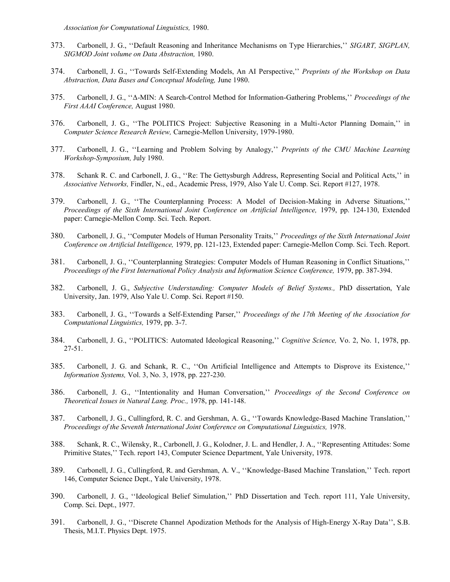*Association for Computational Linguistics,* 1980.

- 373. Carbonell, J. G., ''Default Reasoning and Inheritance Mechanisms on Type Hierarchies,'' *SIGART, SIGPLAN, SIGMOD Joint volume on Data Abstraction,* 1980.
- 374. Carbonell, J. G., ''Towards Self-Extending Models, An AI Perspective,'' *Preprints of the Workshop on Data Abstraction, Data Bases and Conceptual Modeling,* June 1980.
- 375. Carbonell, J. G., ''Δ-MIN: A Search-Control Method for Information-Gathering Problems,'' *Proceedings of the First AAAI Conference,* August 1980.
- 376. Carbonell, J. G., ''The POLITICS Project: Subjective Reasoning in a Multi-Actor Planning Domain,'' in *Computer Science Research Review,* Carnegie-Mellon University, 1979-1980.
- 377. Carbonell, J. G., ''Learning and Problem Solving by Analogy,'' *Preprints of the CMU Machine Learning Workshop-Symposium,* July 1980.
- 378. Schank R. C. and Carbonell, J. G., ''Re: The Gettysburgh Address, Representing Social and Political Acts,'' in *Associative Networks,* Findler, N., ed., Academic Press, 1979, Also Yale U. Comp. Sci. Report #127, 1978.
- 379. Carbonell, J. G., ''The Counterplanning Process: A Model of Decision-Making in Adverse Situations,'' *Proceedings of the Sixth International Joint Conference on Artificial Intelligence,* 1979, pp. 124-130, Extended paper: Carnegie-Mellon Comp. Sci. Tech. Report.
- 380. Carbonell, J. G., ''Computer Models of Human Personality Traits,'' *Proceedings of the Sixth International Joint Conference on Artificial Intelligence,* 1979, pp. 121-123, Extended paper: Carnegie-Mellon Comp. Sci. Tech. Report.
- 381. Carbonell, J. G., ''Counterplanning Strategies: Computer Models of Human Reasoning in Conflict Situations,'' *Proceedings of the First International Policy Analysis and Information Science Conference,* 1979, pp. 387-394.
- 382. Carbonell, J. G., *Subjective Understanding: Computer Models of Belief Systems.,* PhD dissertation, Yale University, Jan. 1979, Also Yale U. Comp. Sci. Report #150.
- 383. Carbonell, J. G., ''Towards a Self-Extending Parser,'' *Proceedings of the 17th Meeting of the Association for Computational Linguistics,* 1979, pp. 3-7.
- 384. Carbonell, J. G., ''POLITICS: Automated Ideological Reasoning,'' *Cognitive Science,* Vo. 2, No. 1, 1978, pp. 27-51.
- 385. Carbonell, J. G. and Schank, R. C., ''On Artificial Intelligence and Attempts to Disprove its Existence,'' *Information Systems,* Vol. 3, No. 3, 1978, pp. 227-230.
- 386. Carbonell, J. G., ''Intentionality and Human Conversation,'' *Proceedings of the Second Conference on Theoretical Issues in Natural Lang. Proc.,* 1978, pp. 141-148.
- 387. Carbonell, J. G., Cullingford, R. C. and Gershman, A. G., ''Towards Knowledge-Based Machine Translation,'' *Proceedings of the Seventh International Joint Conference on Computational Linguistics, 1978.*
- 388. Schank, R. C., Wilensky, R., Carbonell, J. G., Kolodner, J. L. and Hendler, J. A., ''Representing Attitudes: Some Primitive States,'' Tech. report 143, Computer Science Department, Yale University, 1978.
- 389. Carbonell, J. G., Cullingford, R. and Gershman, A. V., ''Knowledge-Based Machine Translation,'' Tech. report 146, Computer Science Dept., Yale University, 1978.
- 390. Carbonell, J. G., ''Ideological Belief Simulation,'' PhD Dissertation and Tech. report 111, Yale University, Comp. Sci. Dept., 1977.
- 391. Carbonell, J. G., ''Discrete Channel Apodization Methods for the Analysis of High-Energy X-Ray Data'', S.B. Thesis, M.I.T. Physics Dept. 1975.